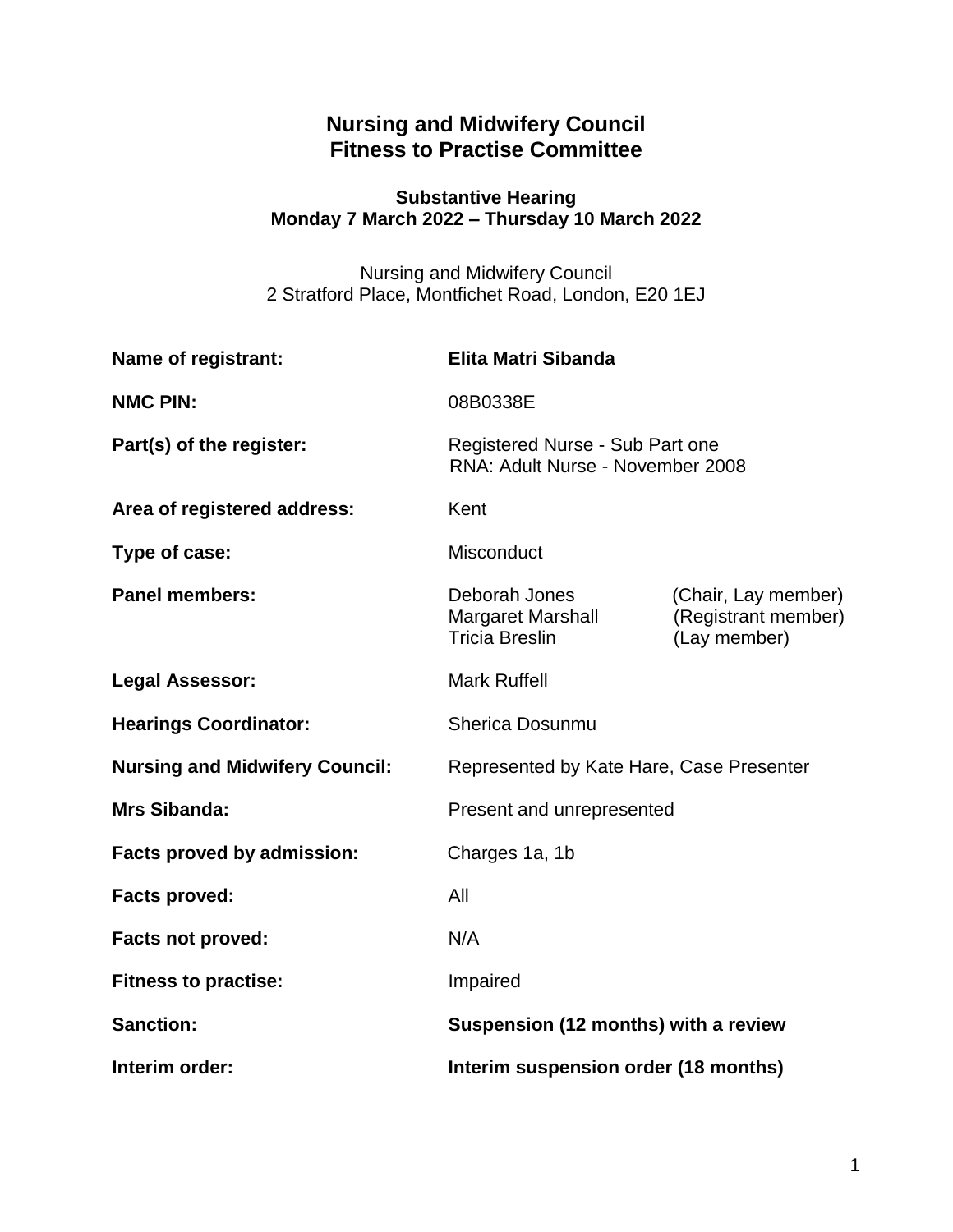# **Nursing and Midwifery Council Fitness to Practise Committee**

### **Substantive Hearing Monday 7 March 2022 – Thursday 10 March 2022**

Nursing and Midwifery Council 2 Stratford Place, Montfichet Road, London, E20 1EJ

| Name of registrant:                   | <b>Elita Matri Sibanda</b>                                          |                                                            |
|---------------------------------------|---------------------------------------------------------------------|------------------------------------------------------------|
| <b>NMC PIN:</b>                       | 08B0338E                                                            |                                                            |
| Part(s) of the register:              | Registered Nurse - Sub Part one<br>RNA: Adult Nurse - November 2008 |                                                            |
| Area of registered address:           | Kent                                                                |                                                            |
| Type of case:                         | Misconduct                                                          |                                                            |
| <b>Panel members:</b>                 | Deborah Jones<br><b>Margaret Marshall</b><br><b>Tricia Breslin</b>  | (Chair, Lay member)<br>(Registrant member)<br>(Lay member) |
| <b>Legal Assessor:</b>                | <b>Mark Ruffell</b>                                                 |                                                            |
| <b>Hearings Coordinator:</b>          | <b>Sherica Dosunmu</b>                                              |                                                            |
| <b>Nursing and Midwifery Council:</b> | Represented by Kate Hare, Case Presenter                            |                                                            |
| <b>Mrs Sibanda:</b>                   | Present and unrepresented                                           |                                                            |
| Facts proved by admission:            | Charges 1a, 1b                                                      |                                                            |
| <b>Facts proved:</b>                  | All                                                                 |                                                            |
| Facts not proved:                     | N/A                                                                 |                                                            |
| <b>Fitness to practise:</b>           | Impaired                                                            |                                                            |
| <b>Sanction:</b>                      | Suspension (12 months) with a review                                |                                                            |
| Interim order:                        | Interim suspension order (18 months)                                |                                                            |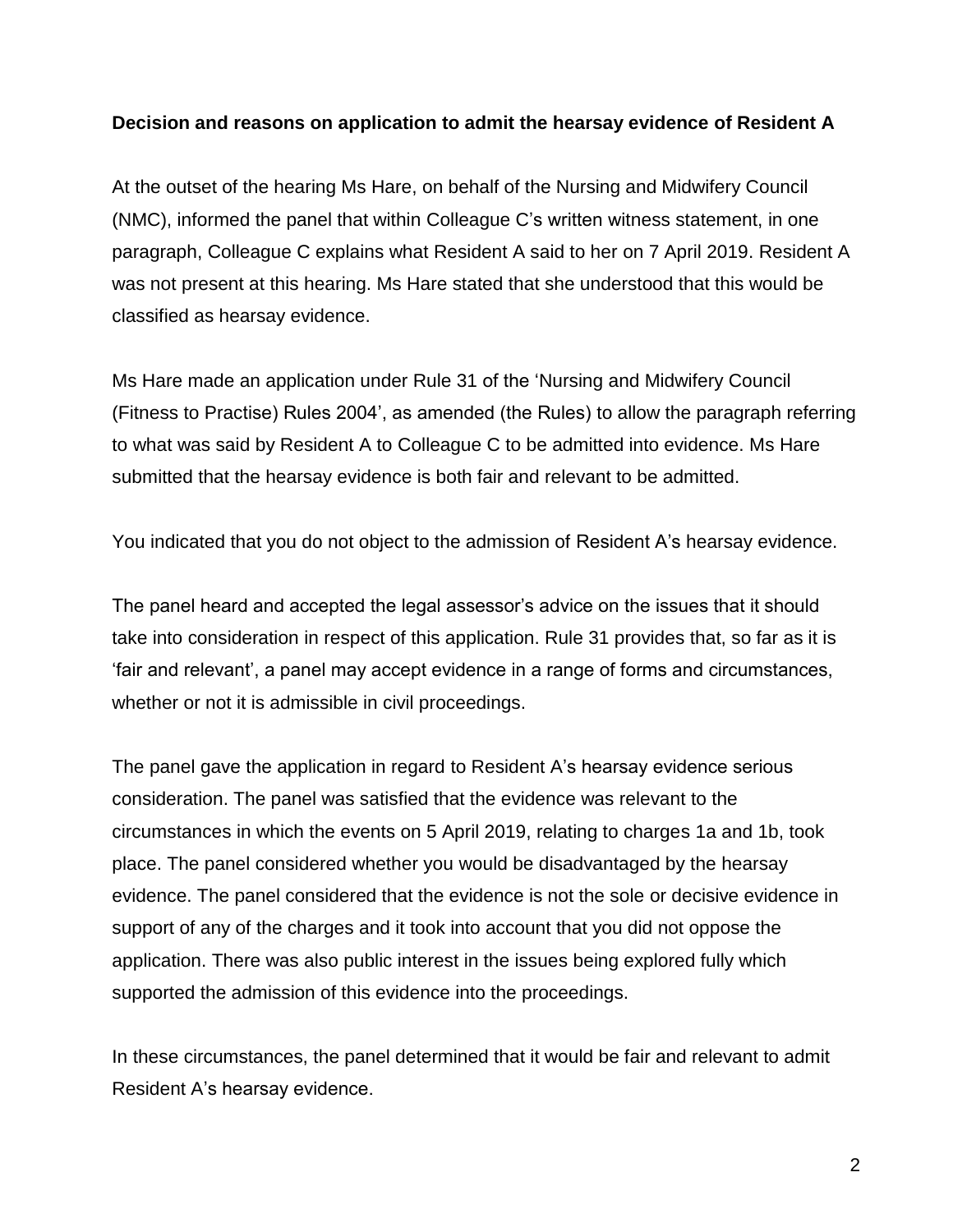#### **Decision and reasons on application to admit the hearsay evidence of Resident A**

At the outset of the hearing Ms Hare, on behalf of the Nursing and Midwifery Council (NMC), informed the panel that within Colleague C's written witness statement, in one paragraph, Colleague C explains what Resident A said to her on 7 April 2019. Resident A was not present at this hearing. Ms Hare stated that she understood that this would be classified as hearsay evidence.

Ms Hare made an application under Rule 31 of the 'Nursing and Midwifery Council (Fitness to Practise) Rules 2004', as amended (the Rules) to allow the paragraph referring to what was said by Resident A to Colleague C to be admitted into evidence. Ms Hare submitted that the hearsay evidence is both fair and relevant to be admitted.

You indicated that you do not object to the admission of Resident A's hearsay evidence.

The panel heard and accepted the legal assessor's advice on the issues that it should take into consideration in respect of this application. Rule 31 provides that, so far as it is 'fair and relevant', a panel may accept evidence in a range of forms and circumstances, whether or not it is admissible in civil proceedings.

The panel gave the application in regard to Resident A's hearsay evidence serious consideration. The panel was satisfied that the evidence was relevant to the circumstances in which the events on 5 April 2019, relating to charges 1a and 1b, took place. The panel considered whether you would be disadvantaged by the hearsay evidence. The panel considered that the evidence is not the sole or decisive evidence in support of any of the charges and it took into account that you did not oppose the application. There was also public interest in the issues being explored fully which supported the admission of this evidence into the proceedings.

In these circumstances, the panel determined that it would be fair and relevant to admit Resident A's hearsay evidence.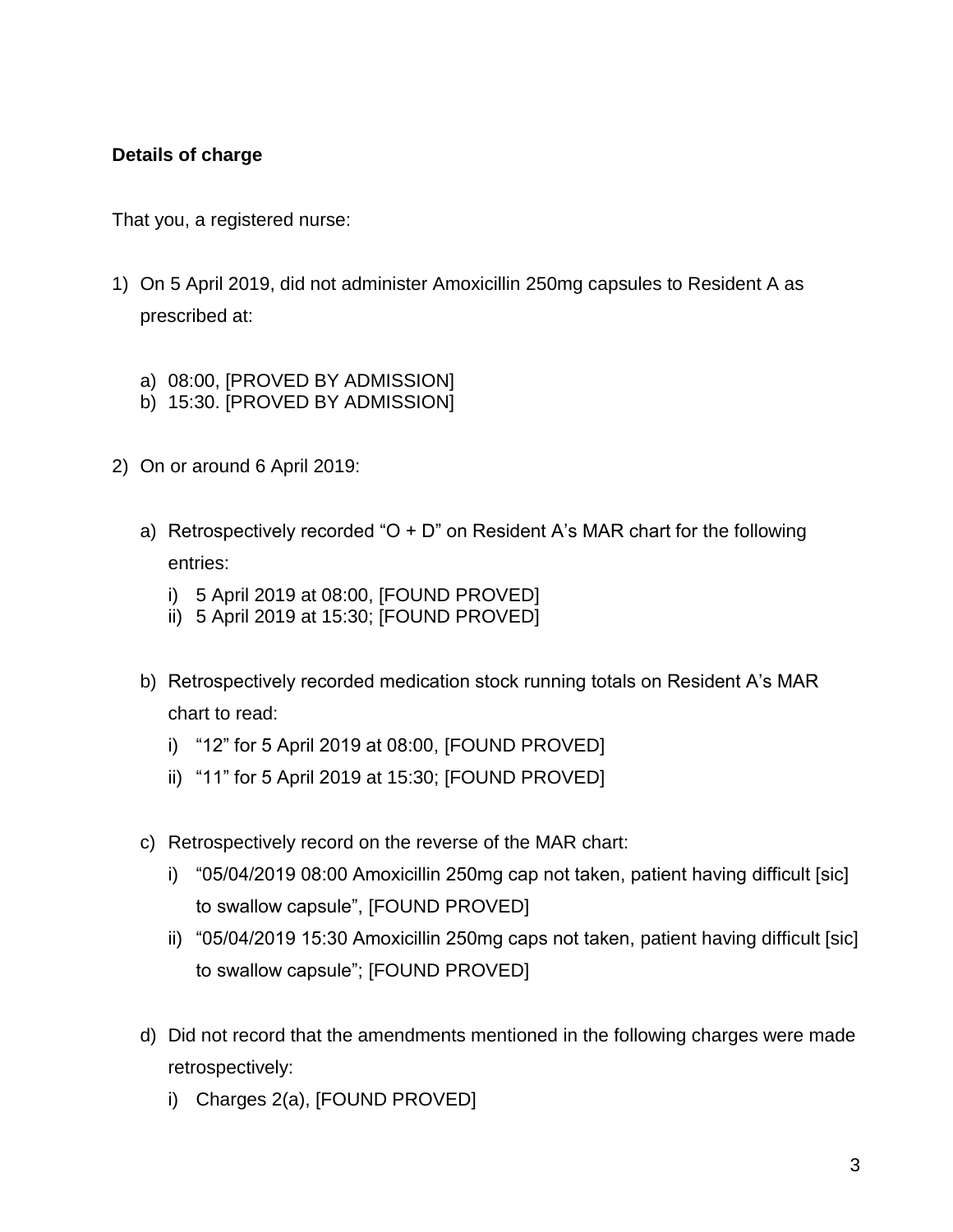### **Details of charge**

That you, a registered nurse:

- 1) On 5 April 2019, did not administer Amoxicillin 250mg capsules to Resident A as prescribed at:
	- a) 08:00, [PROVED BY ADMISSION]
	- b) 15:30. [PROVED BY ADMISSION]
- 2) On or around 6 April 2019:
	- a) Retrospectively recorded " $O + D$ " on Resident A's MAR chart for the following entries:
		- i) 5 April 2019 at 08:00, [FOUND PROVED]
		- ii) 5 April 2019 at 15:30; [FOUND PROVED]
	- b) Retrospectively recorded medication stock running totals on Resident A's MAR chart to read:
		- i) "12" for 5 April 2019 at 08:00, [FOUND PROVED]
		- ii) "11" for 5 April 2019 at 15:30; [FOUND PROVED]
	- c) Retrospectively record on the reverse of the MAR chart:
		- i) "05/04/2019 08:00 Amoxicillin 250mg cap not taken, patient having difficult [sic] to swallow capsule", [FOUND PROVED]
		- ii) "05/04/2019 15:30 Amoxicillin 250mg caps not taken, patient having difficult [sic] to swallow capsule"; [FOUND PROVED]
	- d) Did not record that the amendments mentioned in the following charges were made retrospectively:
		- i) Charges 2(a), [FOUND PROVED]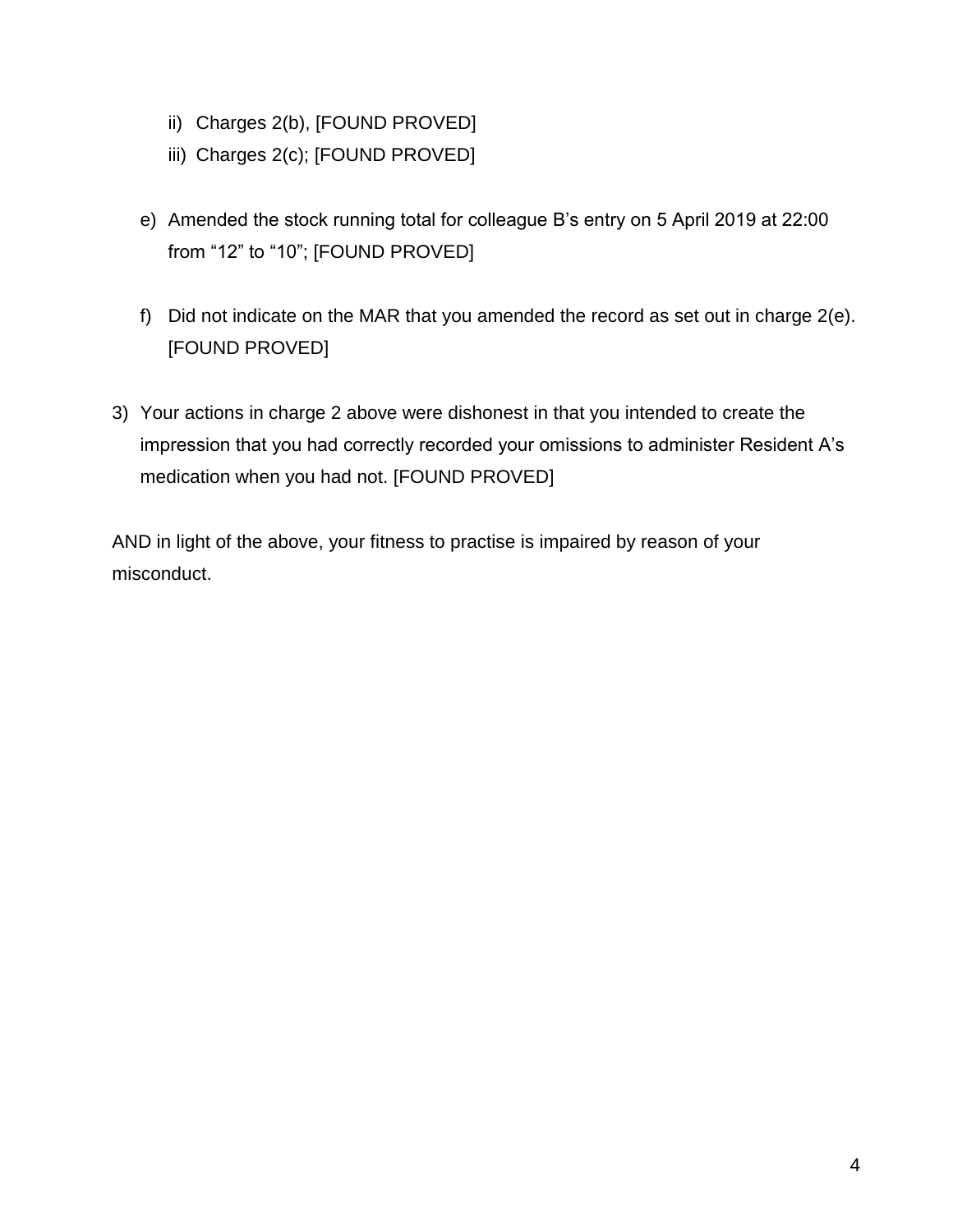- ii) Charges 2(b), [FOUND PROVED]
- iii) Charges 2(c); [FOUND PROVED]
- e) Amended the stock running total for colleague B's entry on 5 April 2019 at 22:00 from "12" to "10"; [FOUND PROVED]
- f) Did not indicate on the MAR that you amended the record as set out in charge 2(e). [FOUND PROVED]
- 3) Your actions in charge 2 above were dishonest in that you intended to create the impression that you had correctly recorded your omissions to administer Resident A's medication when you had not. [FOUND PROVED]

AND in light of the above, your fitness to practise is impaired by reason of your misconduct.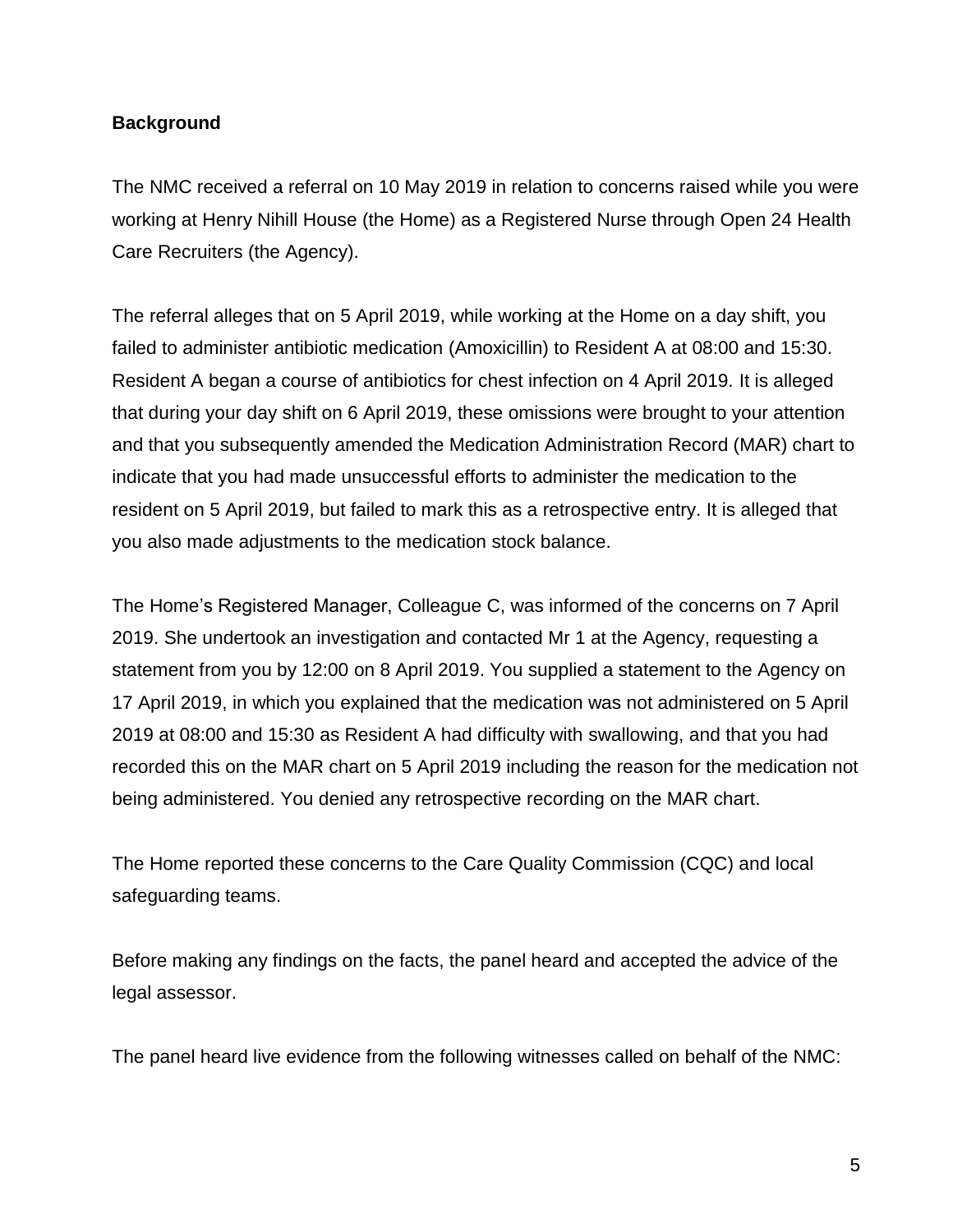#### **Background**

The NMC received a referral on 10 May 2019 in relation to concerns raised while you were working at Henry Nihill House (the Home) as a Registered Nurse through Open 24 Health Care Recruiters (the Agency).

The referral alleges that on 5 April 2019, while working at the Home on a day shift, you failed to administer antibiotic medication (Amoxicillin) to Resident A at 08:00 and 15:30. Resident A began a course of antibiotics for chest infection on 4 April 2019. It is alleged that during your day shift on 6 April 2019, these omissions were brought to your attention and that you subsequently amended the Medication Administration Record (MAR) chart to indicate that you had made unsuccessful efforts to administer the medication to the resident on 5 April 2019, but failed to mark this as a retrospective entry. It is alleged that you also made adjustments to the medication stock balance.

The Home's Registered Manager, Colleague C, was informed of the concerns on 7 April 2019. She undertook an investigation and contacted Mr 1 at the Agency, requesting a statement from you by 12:00 on 8 April 2019. You supplied a statement to the Agency on 17 April 2019, in which you explained that the medication was not administered on 5 April 2019 at 08:00 and 15:30 as Resident A had difficulty with swallowing, and that you had recorded this on the MAR chart on 5 April 2019 including the reason for the medication not being administered. You denied any retrospective recording on the MAR chart.

The Home reported these concerns to the Care Quality Commission (CQC) and local safeguarding teams.

Before making any findings on the facts, the panel heard and accepted the advice of the legal assessor.

The panel heard live evidence from the following witnesses called on behalf of the NMC: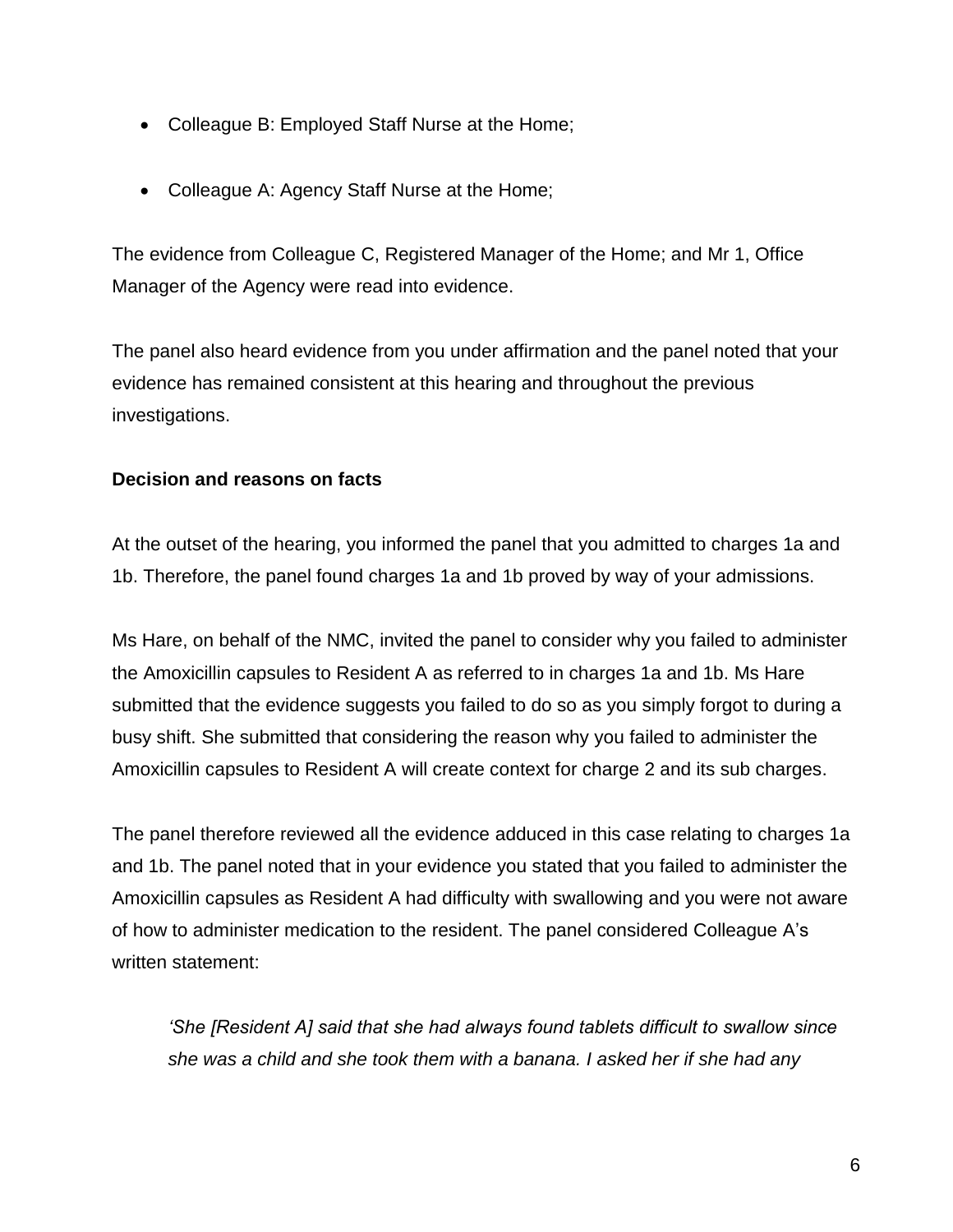- Colleague B: Employed Staff Nurse at the Home;
- Colleague A: Agency Staff Nurse at the Home;

The evidence from Colleague C, Registered Manager of the Home; and Mr 1, Office Manager of the Agency were read into evidence.

The panel also heard evidence from you under affirmation and the panel noted that your evidence has remained consistent at this hearing and throughout the previous investigations.

### **Decision and reasons on facts**

At the outset of the hearing, you informed the panel that you admitted to charges 1a and 1b. Therefore, the panel found charges 1a and 1b proved by way of your admissions.

Ms Hare, on behalf of the NMC, invited the panel to consider why you failed to administer the Amoxicillin capsules to Resident A as referred to in charges 1a and 1b. Ms Hare submitted that the evidence suggests you failed to do so as you simply forgot to during a busy shift. She submitted that considering the reason why you failed to administer the Amoxicillin capsules to Resident A will create context for charge 2 and its sub charges.

The panel therefore reviewed all the evidence adduced in this case relating to charges 1a and 1b. The panel noted that in your evidence you stated that you failed to administer the Amoxicillin capsules as Resident A had difficulty with swallowing and you were not aware of how to administer medication to the resident. The panel considered Colleague A's written statement:

*'She [Resident A] said that she had always found tablets difficult to swallow since she was a child and she took them with a banana. I asked her if she had any*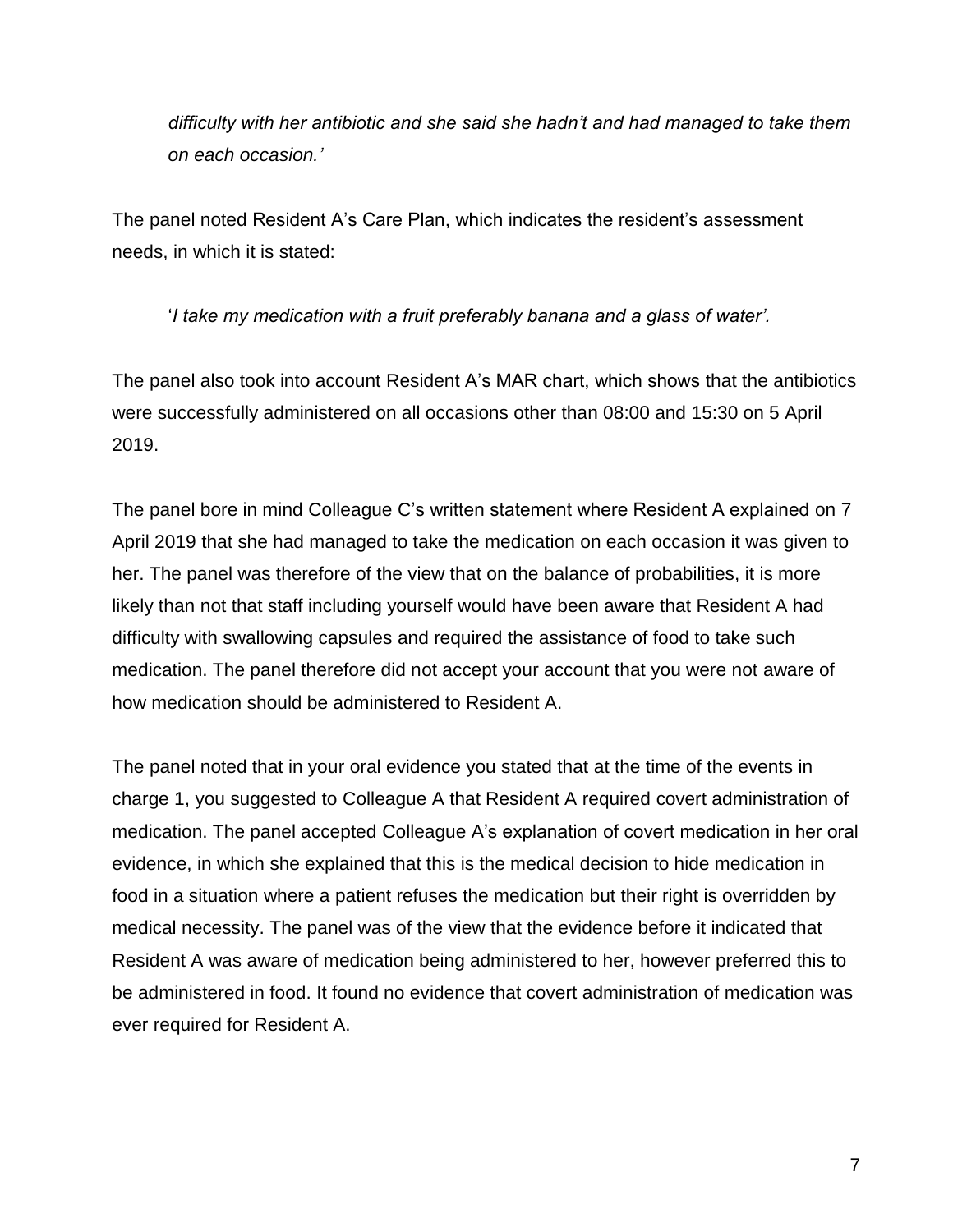*difficulty with her antibiotic and she said she hadn't and had managed to take them on each occasion.'* 

The panel noted Resident A's Care Plan, which indicates the resident's assessment needs, in which it is stated:

'*I take my medication with a fruit preferably banana and a glass of water'.*

The panel also took into account Resident A's MAR chart, which shows that the antibiotics were successfully administered on all occasions other than 08:00 and 15:30 on 5 April 2019.

The panel bore in mind Colleague C's written statement where Resident A explained on 7 April 2019 that she had managed to take the medication on each occasion it was given to her. The panel was therefore of the view that on the balance of probabilities, it is more likely than not that staff including yourself would have been aware that Resident A had difficulty with swallowing capsules and required the assistance of food to take such medication. The panel therefore did not accept your account that you were not aware of how medication should be administered to Resident A.

The panel noted that in your oral evidence you stated that at the time of the events in charge 1, you suggested to Colleague A that Resident A required covert administration of medication. The panel accepted Colleague A's explanation of covert medication in her oral evidence, in which she explained that this is the medical decision to hide medication in food in a situation where a patient refuses the medication but their right is overridden by medical necessity. The panel was of the view that the evidence before it indicated that Resident A was aware of medication being administered to her, however preferred this to be administered in food. It found no evidence that covert administration of medication was ever required for Resident A.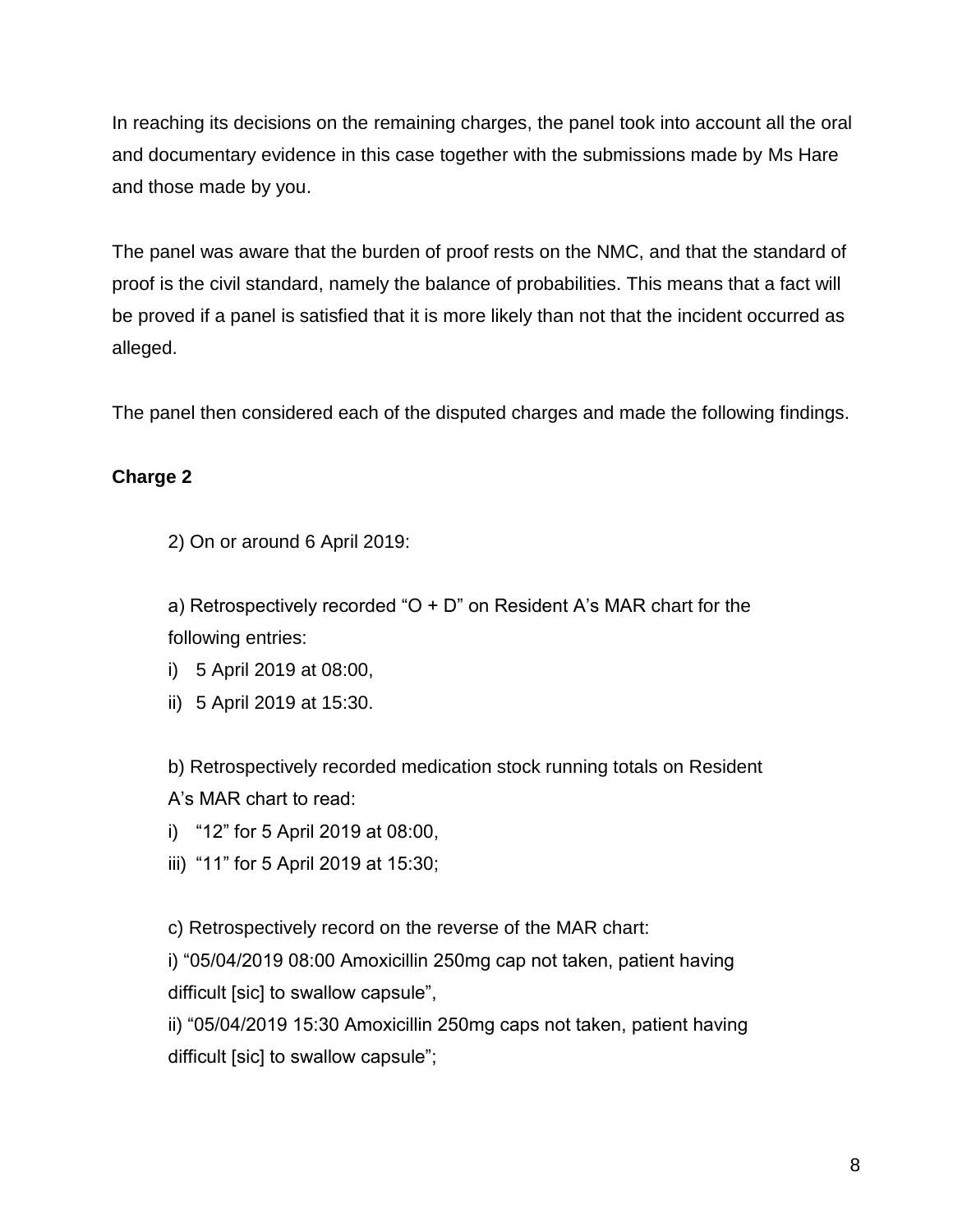In reaching its decisions on the remaining charges, the panel took into account all the oral and documentary evidence in this case together with the submissions made by Ms Hare and those made by you.

The panel was aware that the burden of proof rests on the NMC, and that the standard of proof is the civil standard, namely the balance of probabilities. This means that a fact will be proved if a panel is satisfied that it is more likely than not that the incident occurred as alleged.

The panel then considered each of the disputed charges and made the following findings.

## **Charge 2**

2) On or around 6 April 2019:

a) Retrospectively recorded " $O + D$ " on Resident A's MAR chart for the following entries:

- i) 5 April 2019 at 08:00,
- ii) 5 April 2019 at 15:30.

b) Retrospectively recorded medication stock running totals on Resident A's MAR chart to read:

- i) "12" for 5 April 2019 at 08:00,
- iii) "11" for 5 April 2019 at 15:30;

c) Retrospectively record on the reverse of the MAR chart:

i) "05/04/2019 08:00 Amoxicillin 250mg cap not taken, patient having difficult [sic] to swallow capsule",

ii) "05/04/2019 15:30 Amoxicillin 250mg caps not taken, patient having difficult [sic] to swallow capsule";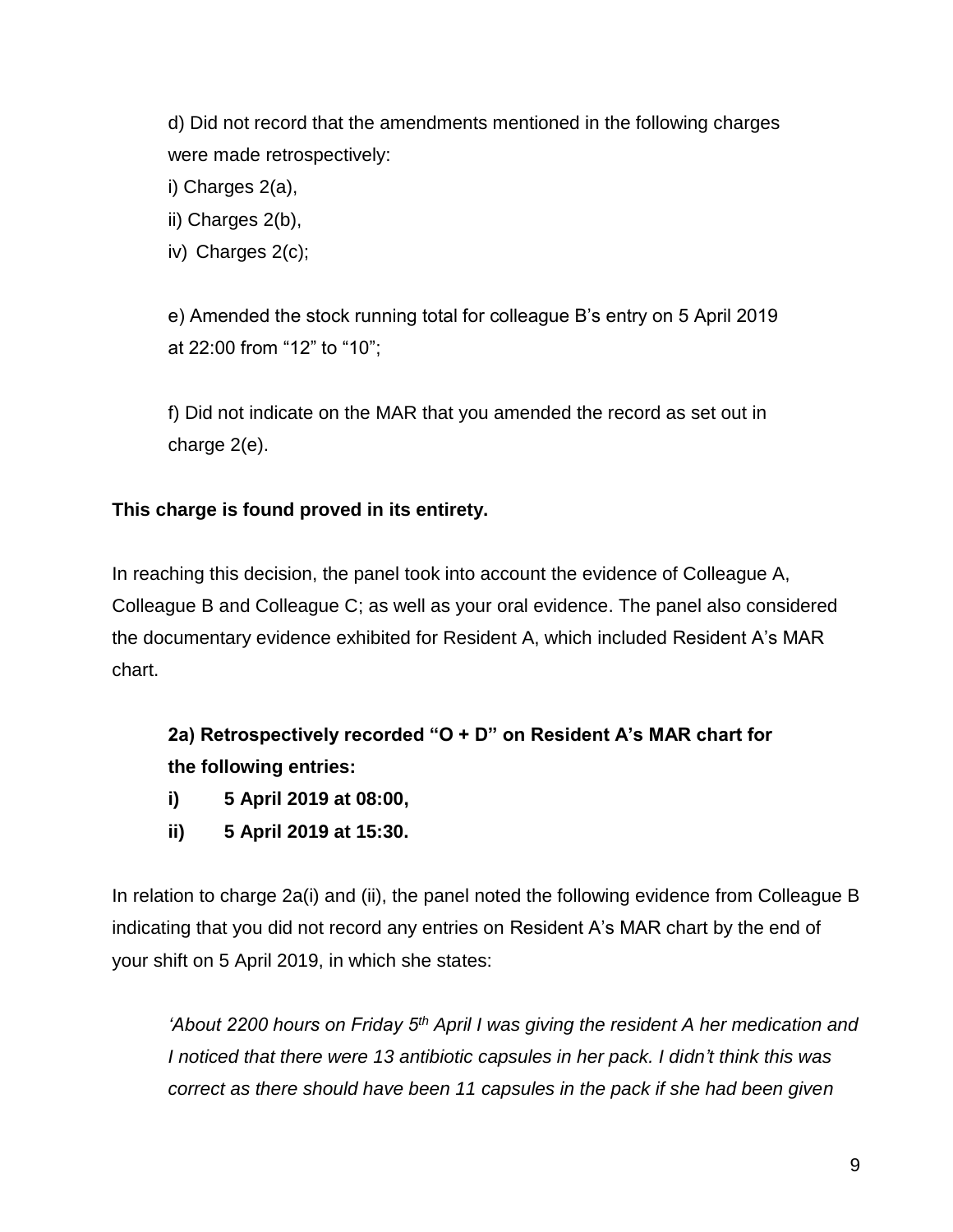d) Did not record that the amendments mentioned in the following charges were made retrospectively:

i) Charges 2(a),

ii) Charges 2(b),

iv) Charges 2(c);

e) Amended the stock running total for colleague B's entry on 5 April 2019 at 22:00 from "12" to "10";

f) Did not indicate on the MAR that you amended the record as set out in charge 2(e).

## **This charge is found proved in its entirety.**

In reaching this decision, the panel took into account the evidence of Colleague A, Colleague B and Colleague C; as well as your oral evidence. The panel also considered the documentary evidence exhibited for Resident A, which included Resident A's MAR chart.

**2a) Retrospectively recorded "O + D" on Resident A's MAR chart for the following entries:** 

- **i) 5 April 2019 at 08:00,**
- **ii) 5 April 2019 at 15:30.**

In relation to charge 2a(i) and (ii), the panel noted the following evidence from Colleague B indicating that you did not record any entries on Resident A's MAR chart by the end of your shift on 5 April 2019, in which she states:

*'About 2200 hours on Friday 5th April I was giving the resident A her medication and I noticed that there were 13 antibiotic capsules in her pack. I didn't think this was correct as there should have been 11 capsules in the pack if she had been given*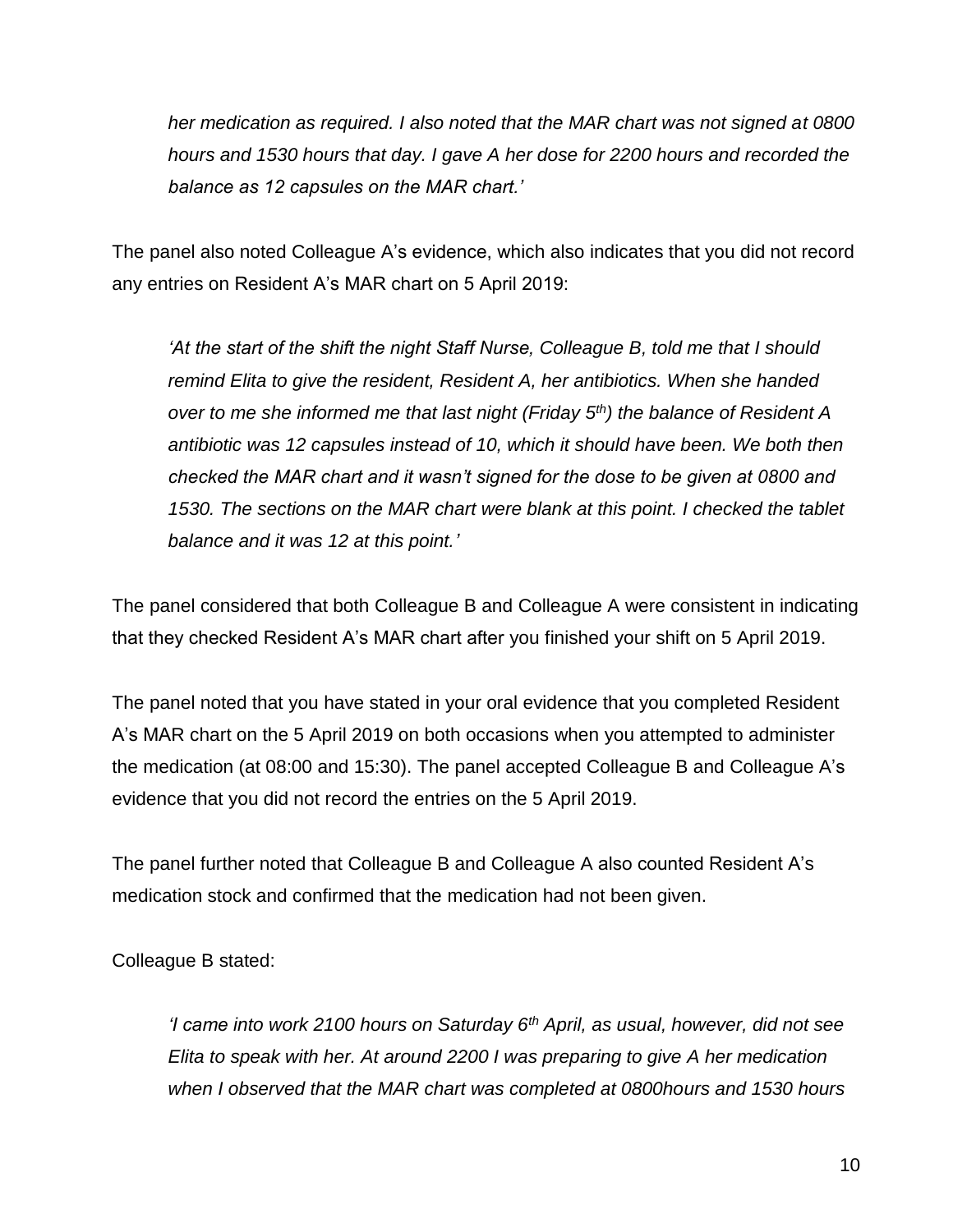*her medication as required. I also noted that the MAR chart was not signed at 0800 hours and 1530 hours that day. I gave A her dose for 2200 hours and recorded the balance as 12 capsules on the MAR chart.'*

The panel also noted Colleague A's evidence, which also indicates that you did not record any entries on Resident A's MAR chart on 5 April 2019:

*'At the start of the shift the night Staff Nurse, Colleague B, told me that I should remind Elita to give the resident, Resident A, her antibiotics. When she handed over to me she informed me that last night (Friday 5th) the balance of Resident A antibiotic was 12 capsules instead of 10, which it should have been. We both then checked the MAR chart and it wasn't signed for the dose to be given at 0800 and 1530. The sections on the MAR chart were blank at this point. I checked the tablet balance and it was 12 at this point.'* 

The panel considered that both Colleague B and Colleague A were consistent in indicating that they checked Resident A's MAR chart after you finished your shift on 5 April 2019.

The panel noted that you have stated in your oral evidence that you completed Resident A's MAR chart on the 5 April 2019 on both occasions when you attempted to administer the medication (at 08:00 and 15:30). The panel accepted Colleague B and Colleague A's evidence that you did not record the entries on the 5 April 2019.

The panel further noted that Colleague B and Colleague A also counted Resident A's medication stock and confirmed that the medication had not been given.

Colleague B stated:

*'I came into work 2100 hours on Saturday 6th April, as usual, however, did not see Elita to speak with her. At around 2200 I was preparing to give A her medication when I observed that the MAR chart was completed at 0800hours and 1530 hours*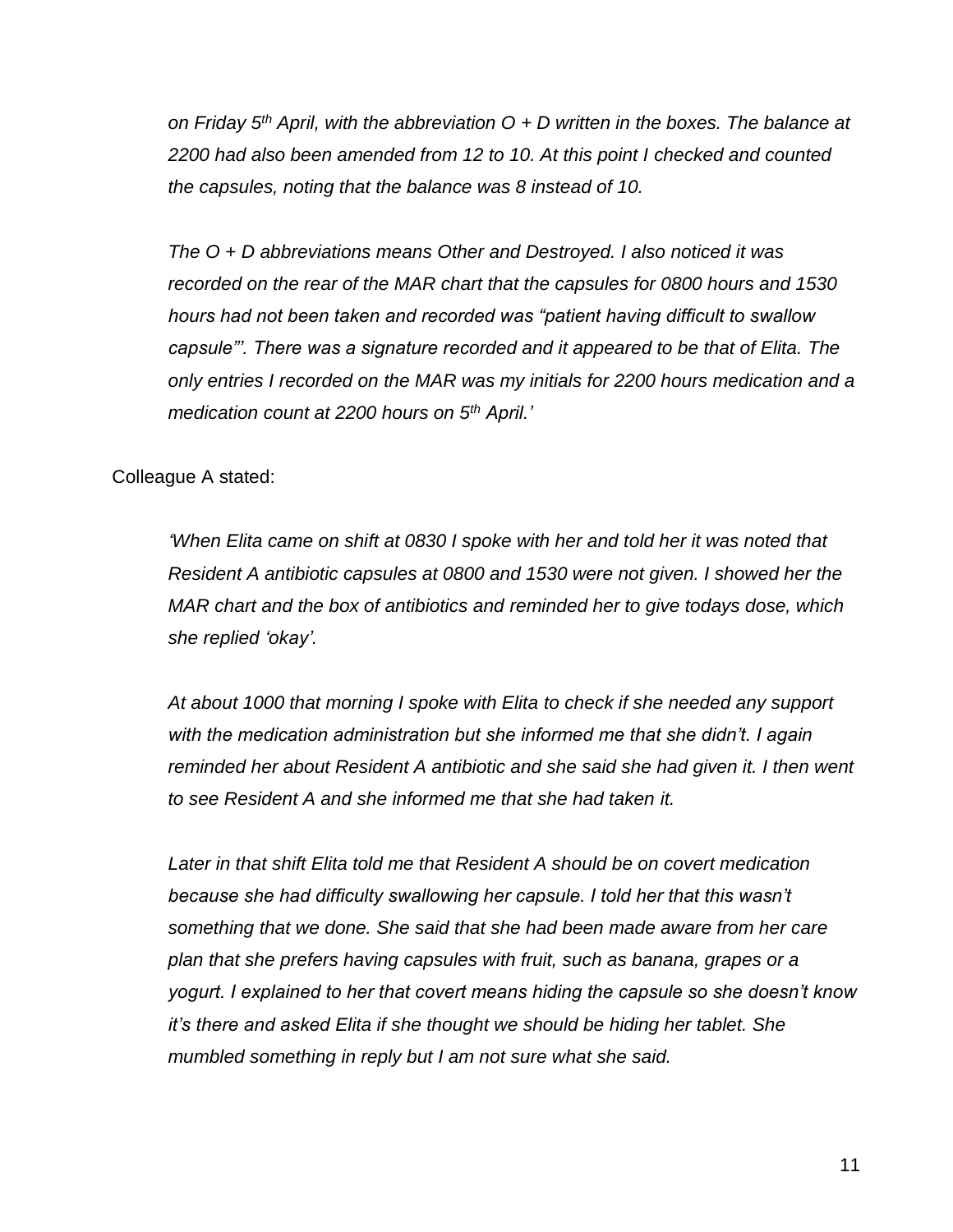*on Friday 5th April, with the abbreviation O + D written in the boxes. The balance at 2200 had also been amended from 12 to 10. At this point I checked and counted the capsules, noting that the balance was 8 instead of 10.* 

*The O + D abbreviations means Other and Destroyed. I also noticed it was recorded on the rear of the MAR chart that the capsules for 0800 hours and 1530 hours had not been taken and recorded was "patient having difficult to swallow capsule"'. There was a signature recorded and it appeared to be that of Elita. The only entries I recorded on the MAR was my initials for 2200 hours medication and a medication count at 2200 hours on 5th April.'* 

Colleague A stated:

*'When Elita came on shift at 0830 I spoke with her and told her it was noted that Resident A antibiotic capsules at 0800 and 1530 were not given. I showed her the MAR chart and the box of antibiotics and reminded her to give todays dose, which she replied 'okay'.* 

*At about 1000 that morning I spoke with Elita to check if she needed any support with the medication administration but she informed me that she didn't. I again reminded her about Resident A antibiotic and she said she had given it. I then went to see Resident A and she informed me that she had taken it.*

*Later in that shift Elita told me that Resident A should be on covert medication because she had difficulty swallowing her capsule. I told her that this wasn't something that we done. She said that she had been made aware from her care plan that she prefers having capsules with fruit, such as banana, grapes or a yogurt. I explained to her that covert means hiding the capsule so she doesn't know it's there and asked Elita if she thought we should be hiding her tablet. She mumbled something in reply but I am not sure what she said.*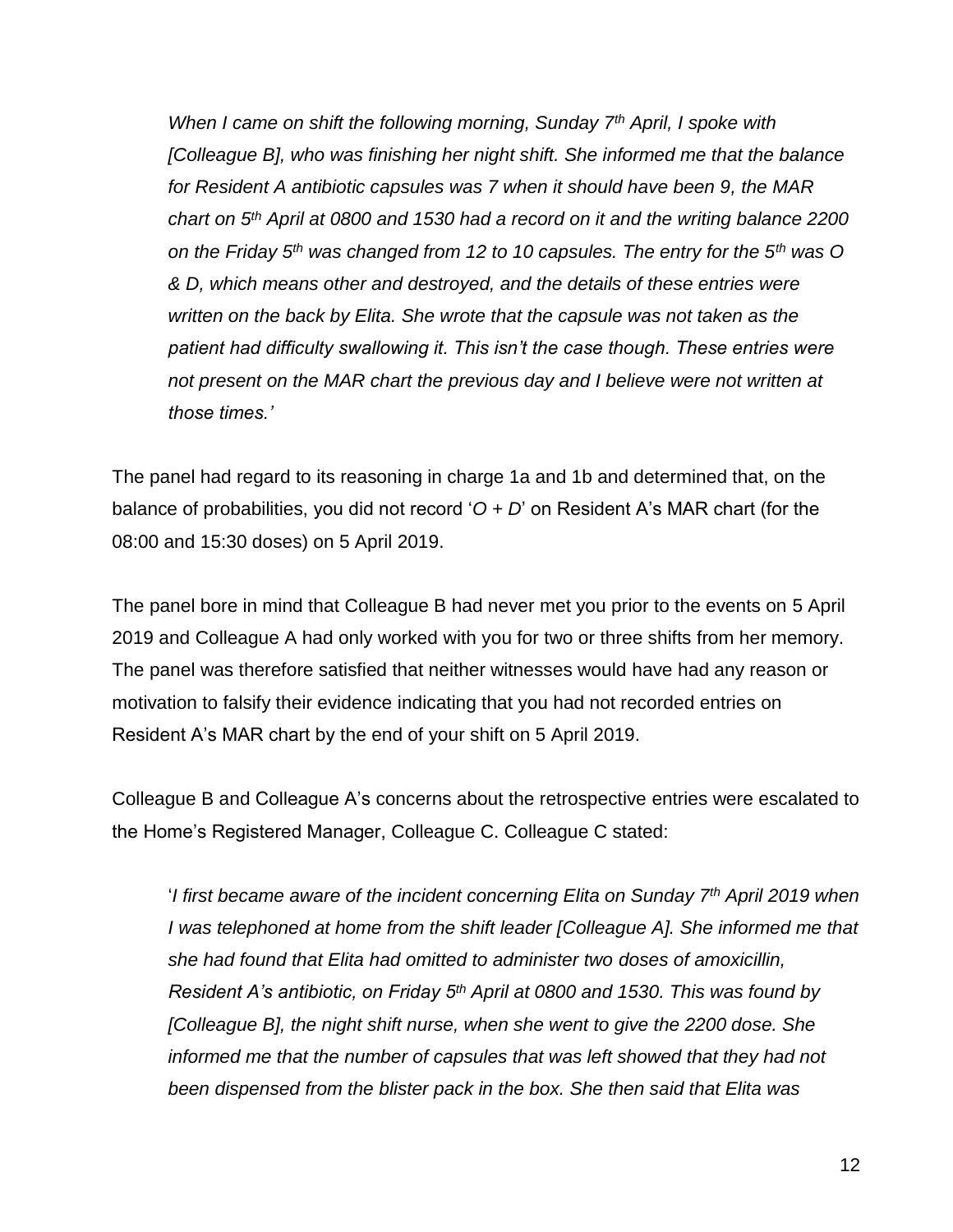*When I came on shift the following morning, Sunday 7th April, I spoke with [Colleague B], who was finishing her night shift. She informed me that the balance for Resident A antibiotic capsules was 7 when it should have been 9, the MAR chart on 5th April at 0800 and 1530 had a record on it and the writing balance 2200 on the Friday 5 th was changed from 12 to 10 capsules. The entry for the 5th was O & D, which means other and destroyed, and the details of these entries were written on the back by Elita. She wrote that the capsule was not taken as the patient had difficulty swallowing it. This isn't the case though. These entries were not present on the MAR chart the previous day and I believe were not written at those times.'* 

The panel had regard to its reasoning in charge 1a and 1b and determined that, on the balance of probabilities, you did not record '*O + D*' on Resident A's MAR chart (for the 08:00 and 15:30 doses) on 5 April 2019.

The panel bore in mind that Colleague B had never met you prior to the events on 5 April 2019 and Colleague A had only worked with you for two or three shifts from her memory. The panel was therefore satisfied that neither witnesses would have had any reason or motivation to falsify their evidence indicating that you had not recorded entries on Resident A's MAR chart by the end of your shift on 5 April 2019.

Colleague B and Colleague A's concerns about the retrospective entries were escalated to the Home's Registered Manager, Colleague C. Colleague C stated:

'*I first became aware of the incident concerning Elita on Sunday 7th April 2019 when I was telephoned at home from the shift leader [Colleague A]. She informed me that she had found that Elita had omitted to administer two doses of amoxicillin, Resident A's antibiotic, on Friday 5th April at 0800 and 1530. This was found by [Colleague B], the night shift nurse, when she went to give the 2200 dose. She*  informed me that the number of capsules that was left showed that they had not *been dispensed from the blister pack in the box. She then said that Elita was*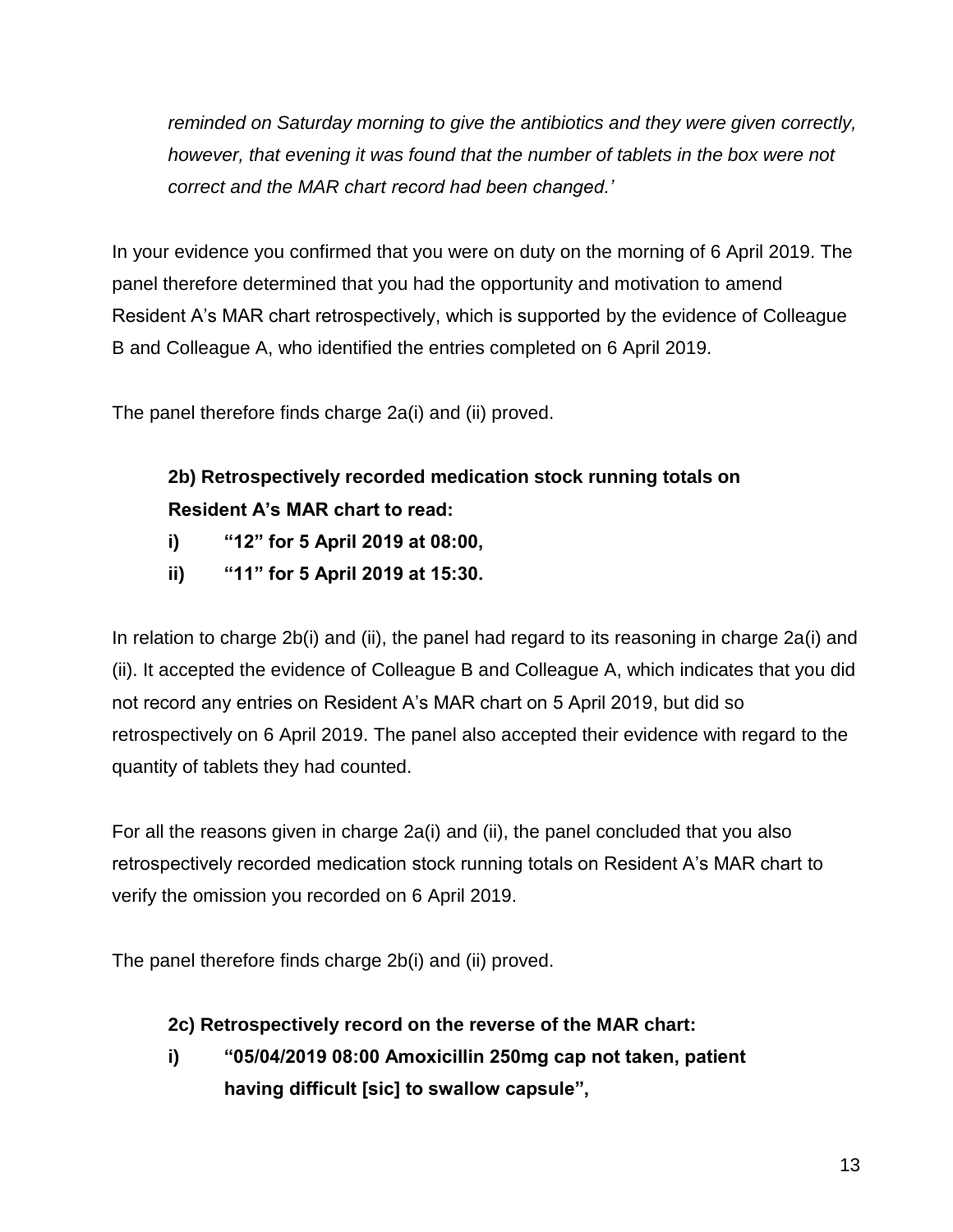*reminded on Saturday morning to give the antibiotics and they were given correctly, however, that evening it was found that the number of tablets in the box were not correct and the MAR chart record had been changed.'*

In your evidence you confirmed that you were on duty on the morning of 6 April 2019. The panel therefore determined that you had the opportunity and motivation to amend Resident A's MAR chart retrospectively, which is supported by the evidence of Colleague B and Colleague A, who identified the entries completed on 6 April 2019.

The panel therefore finds charge 2a(i) and (ii) proved.

# **2b) Retrospectively recorded medication stock running totals on Resident A's MAR chart to read:**

- **i) "12" for 5 April 2019 at 08:00,**
- **ii) "11" for 5 April 2019 at 15:30.**

In relation to charge 2b(i) and (ii), the panel had regard to its reasoning in charge 2a(i) and (ii). It accepted the evidence of Colleague B and Colleague A, which indicates that you did not record any entries on Resident A's MAR chart on 5 April 2019, but did so retrospectively on 6 April 2019. The panel also accepted their evidence with regard to the quantity of tablets they had counted.

For all the reasons given in charge 2a(i) and (ii), the panel concluded that you also retrospectively recorded medication stock running totals on Resident A's MAR chart to verify the omission you recorded on 6 April 2019.

The panel therefore finds charge 2b(i) and (ii) proved.

## **2c) Retrospectively record on the reverse of the MAR chart:**

**i) "05/04/2019 08:00 Amoxicillin 250mg cap not taken, patient having difficult [sic] to swallow capsule",**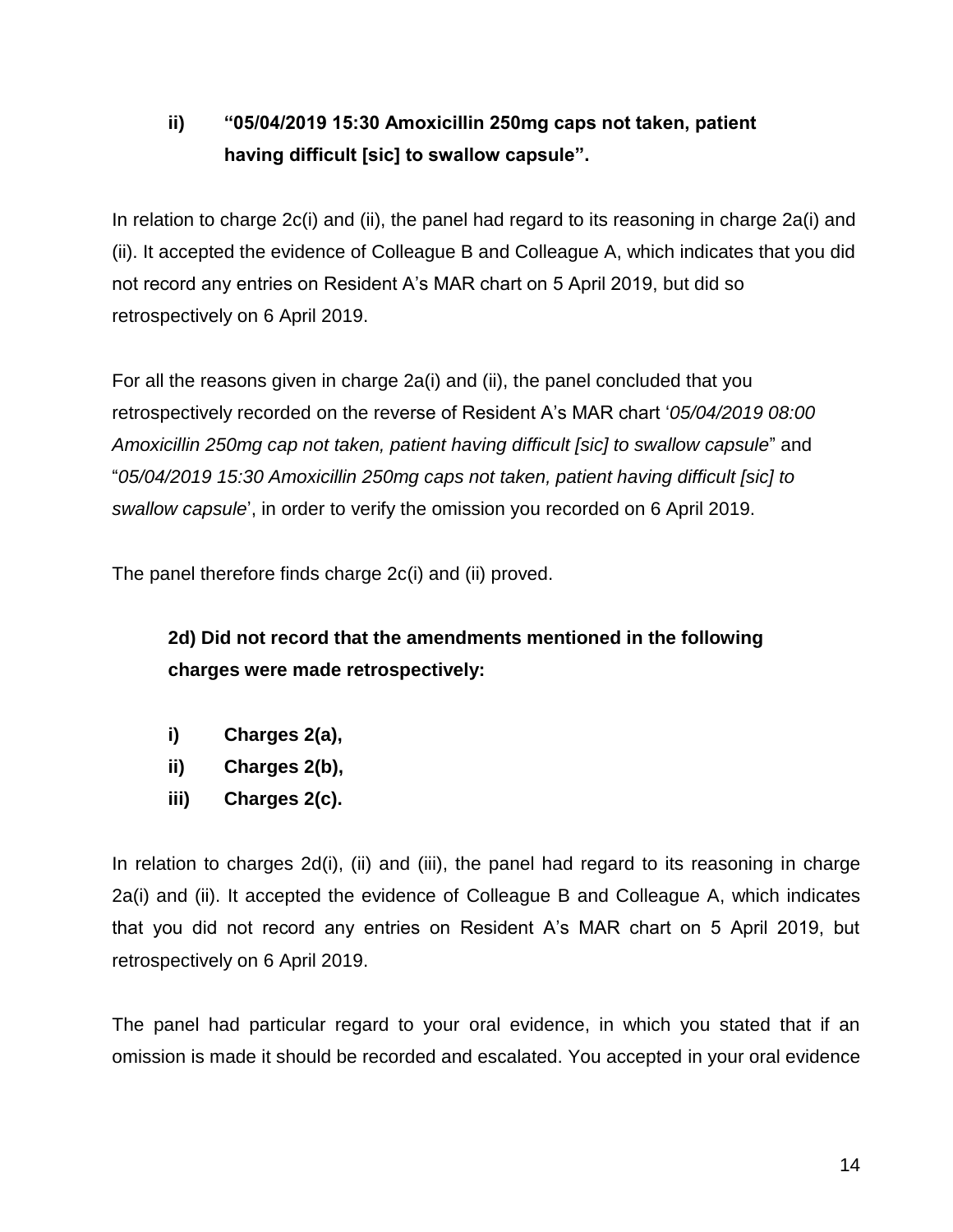# **ii) "05/04/2019 15:30 Amoxicillin 250mg caps not taken, patient having difficult [sic] to swallow capsule".**

In relation to charge 2c(i) and (ii), the panel had regard to its reasoning in charge 2a(i) and (ii). It accepted the evidence of Colleague B and Colleague A, which indicates that you did not record any entries on Resident A's MAR chart on 5 April 2019, but did so retrospectively on 6 April 2019.

For all the reasons given in charge 2a(i) and (ii), the panel concluded that you retrospectively recorded on the reverse of Resident A's MAR chart '*05/04/2019 08:00 Amoxicillin 250mg cap not taken, patient having difficult [sic] to swallow capsule*" and "*05/04/2019 15:30 Amoxicillin 250mg caps not taken, patient having difficult [sic] to swallow capsule*', in order to verify the omission you recorded on 6 April 2019.

The panel therefore finds charge 2c(i) and (ii) proved.

**2d) Did not record that the amendments mentioned in the following charges were made retrospectively:**

- **i) Charges 2(a),**
- **ii) Charges 2(b),**
- **iii) Charges 2(c).**

In relation to charges 2d(i), (ii) and (iii), the panel had regard to its reasoning in charge 2a(i) and (ii). It accepted the evidence of Colleague B and Colleague A, which indicates that you did not record any entries on Resident A's MAR chart on 5 April 2019, but retrospectively on 6 April 2019.

The panel had particular regard to your oral evidence, in which you stated that if an omission is made it should be recorded and escalated. You accepted in your oral evidence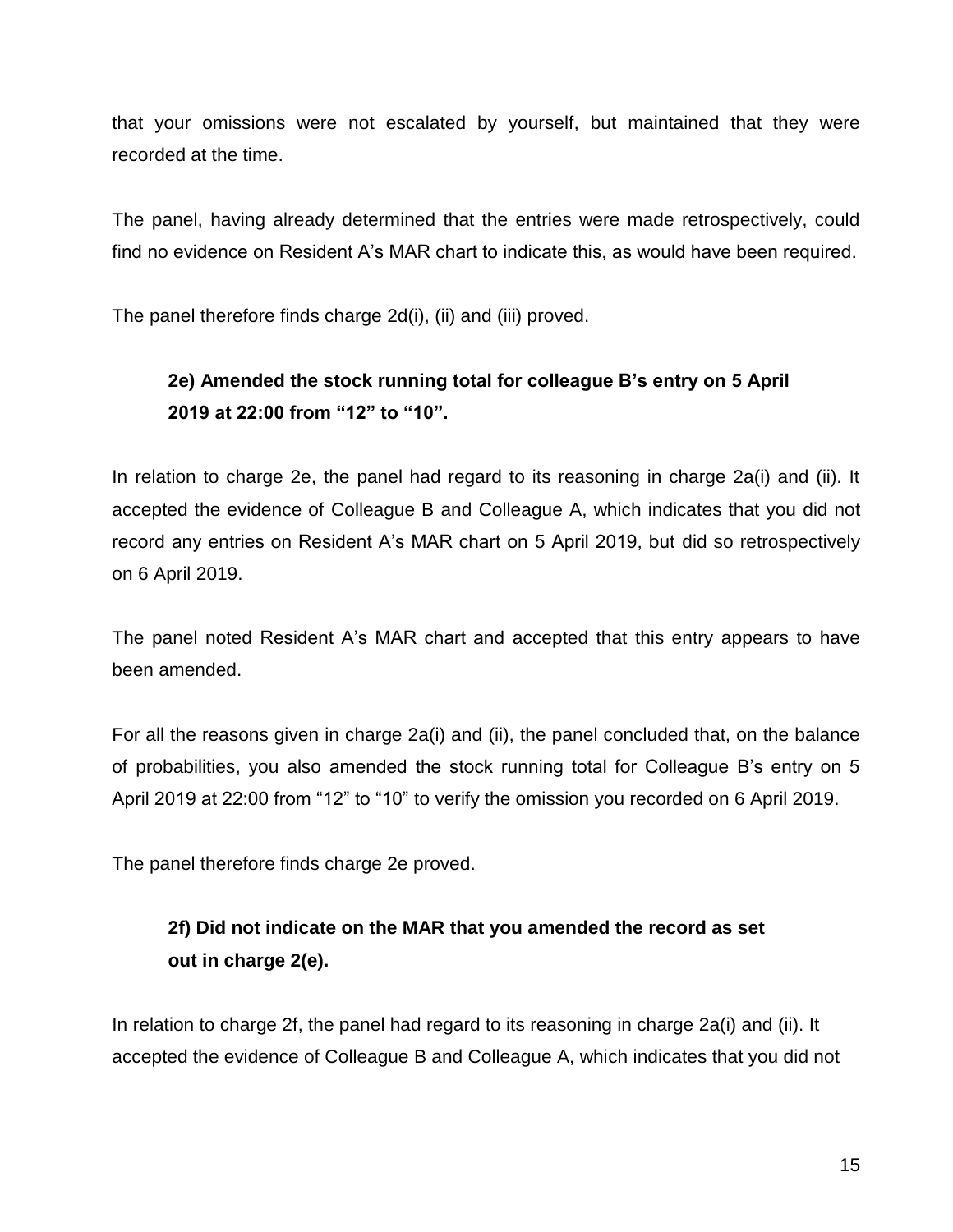that your omissions were not escalated by yourself, but maintained that they were recorded at the time.

The panel, having already determined that the entries were made retrospectively, could find no evidence on Resident A's MAR chart to indicate this, as would have been required.

The panel therefore finds charge 2d(i), (ii) and (iii) proved.

# **2e) Amended the stock running total for colleague B's entry on 5 April 2019 at 22:00 from "12" to "10".**

In relation to charge 2e, the panel had regard to its reasoning in charge 2a(i) and (ii). It accepted the evidence of Colleague B and Colleague A, which indicates that you did not record any entries on Resident A's MAR chart on 5 April 2019, but did so retrospectively on 6 April 2019.

The panel noted Resident A's MAR chart and accepted that this entry appears to have been amended.

For all the reasons given in charge 2a(i) and (ii), the panel concluded that, on the balance of probabilities, you also amended the stock running total for Colleague B's entry on 5 April 2019 at 22:00 from "12" to "10" to verify the omission you recorded on 6 April 2019.

The panel therefore finds charge 2e proved.

# **2f) Did not indicate on the MAR that you amended the record as set out in charge 2(e).**

In relation to charge 2f, the panel had regard to its reasoning in charge 2a(i) and (ii). It accepted the evidence of Colleague B and Colleague A, which indicates that you did not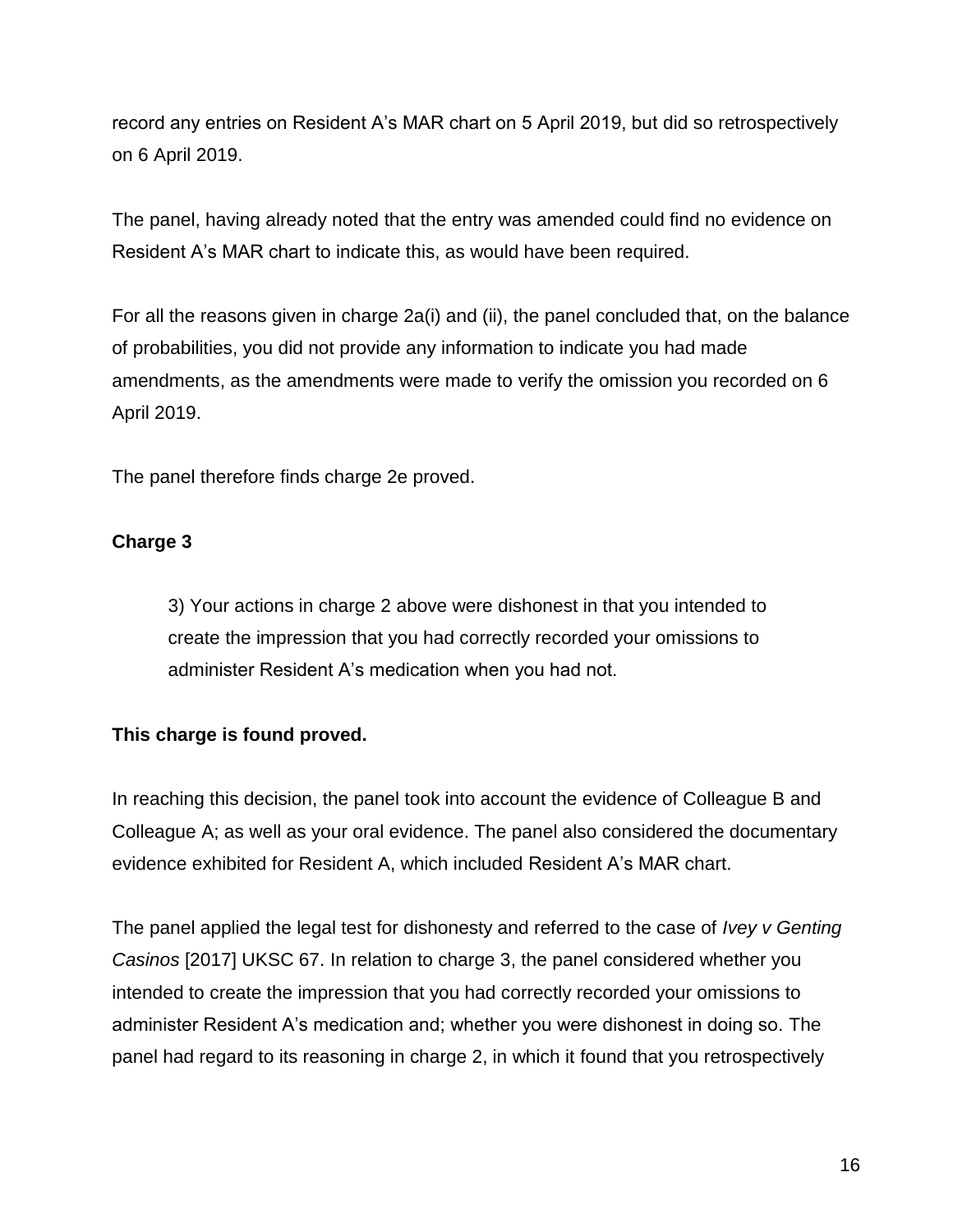record any entries on Resident A's MAR chart on 5 April 2019, but did so retrospectively on 6 April 2019.

The panel, having already noted that the entry was amended could find no evidence on Resident A's MAR chart to indicate this, as would have been required.

For all the reasons given in charge 2a(i) and (ii), the panel concluded that, on the balance of probabilities, you did not provide any information to indicate you had made amendments, as the amendments were made to verify the omission you recorded on 6 April 2019.

The panel therefore finds charge 2e proved.

## **Charge 3**

3) Your actions in charge 2 above were dishonest in that you intended to create the impression that you had correctly recorded your omissions to administer Resident A's medication when you had not.

## **This charge is found proved.**

In reaching this decision, the panel took into account the evidence of Colleague B and Colleague A; as well as your oral evidence. The panel also considered the documentary evidence exhibited for Resident A, which included Resident A's MAR chart.

The panel applied the legal test for dishonesty and referred to the case of *Ivey v Genting Casinos* [2017] UKSC 67. In relation to charge 3, the panel considered whether you intended to create the impression that you had correctly recorded your omissions to administer Resident A's medication and; whether you were dishonest in doing so. The panel had regard to its reasoning in charge 2, in which it found that you retrospectively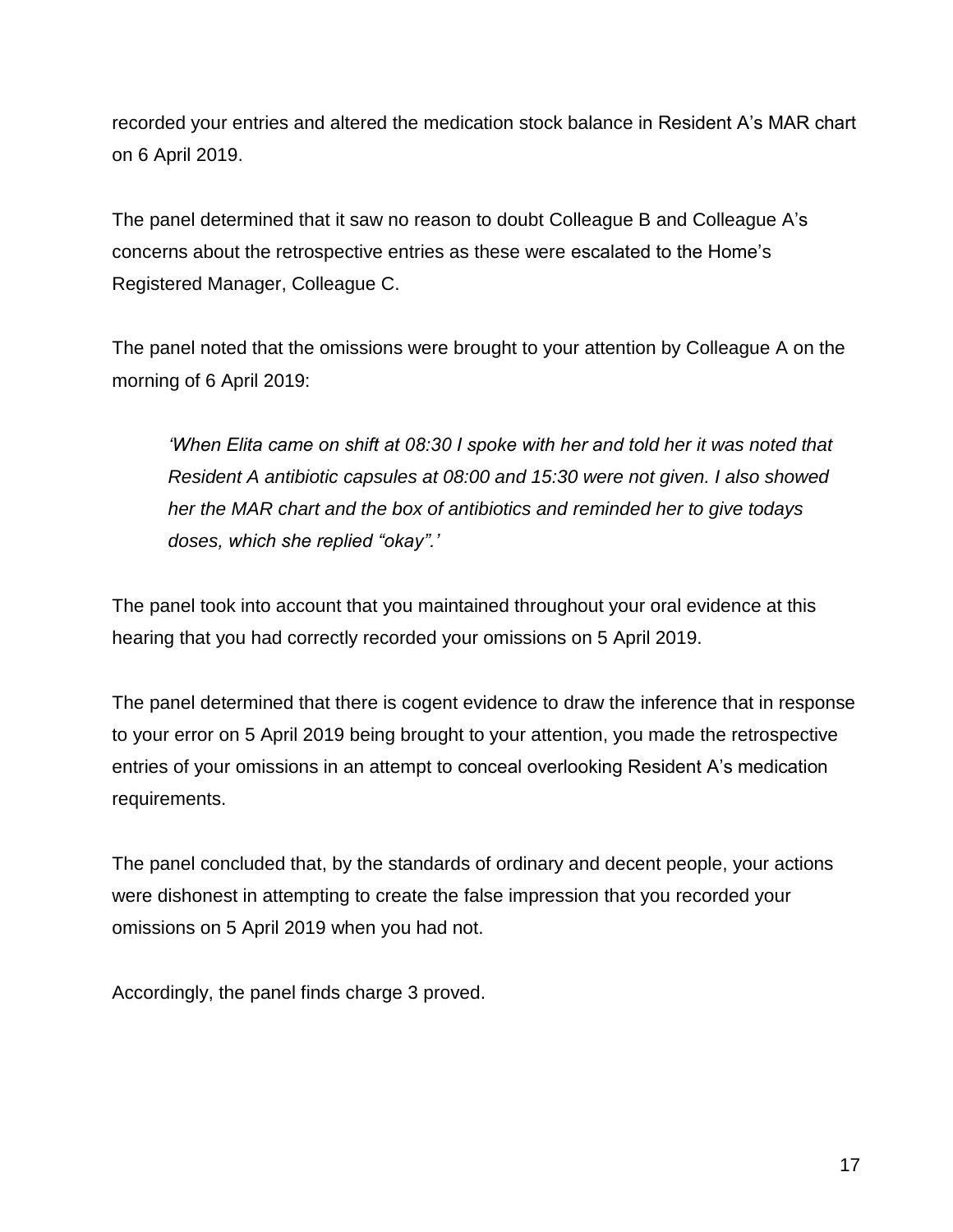recorded your entries and altered the medication stock balance in Resident A's MAR chart on 6 April 2019.

The panel determined that it saw no reason to doubt Colleague B and Colleague A's concerns about the retrospective entries as these were escalated to the Home's Registered Manager, Colleague C.

The panel noted that the omissions were brought to your attention by Colleague A on the morning of 6 April 2019:

*'When Elita came on shift at 08:30 I spoke with her and told her it was noted that Resident A antibiotic capsules at 08:00 and 15:30 were not given. I also showed her the MAR chart and the box of antibiotics and reminded her to give todays doses, which she replied "okay".'*

The panel took into account that you maintained throughout your oral evidence at this hearing that you had correctly recorded your omissions on 5 April 2019.

The panel determined that there is cogent evidence to draw the inference that in response to your error on 5 April 2019 being brought to your attention, you made the retrospective entries of your omissions in an attempt to conceal overlooking Resident A's medication requirements.

The panel concluded that, by the standards of ordinary and decent people, your actions were dishonest in attempting to create the false impression that you recorded your omissions on 5 April 2019 when you had not.

Accordingly, the panel finds charge 3 proved.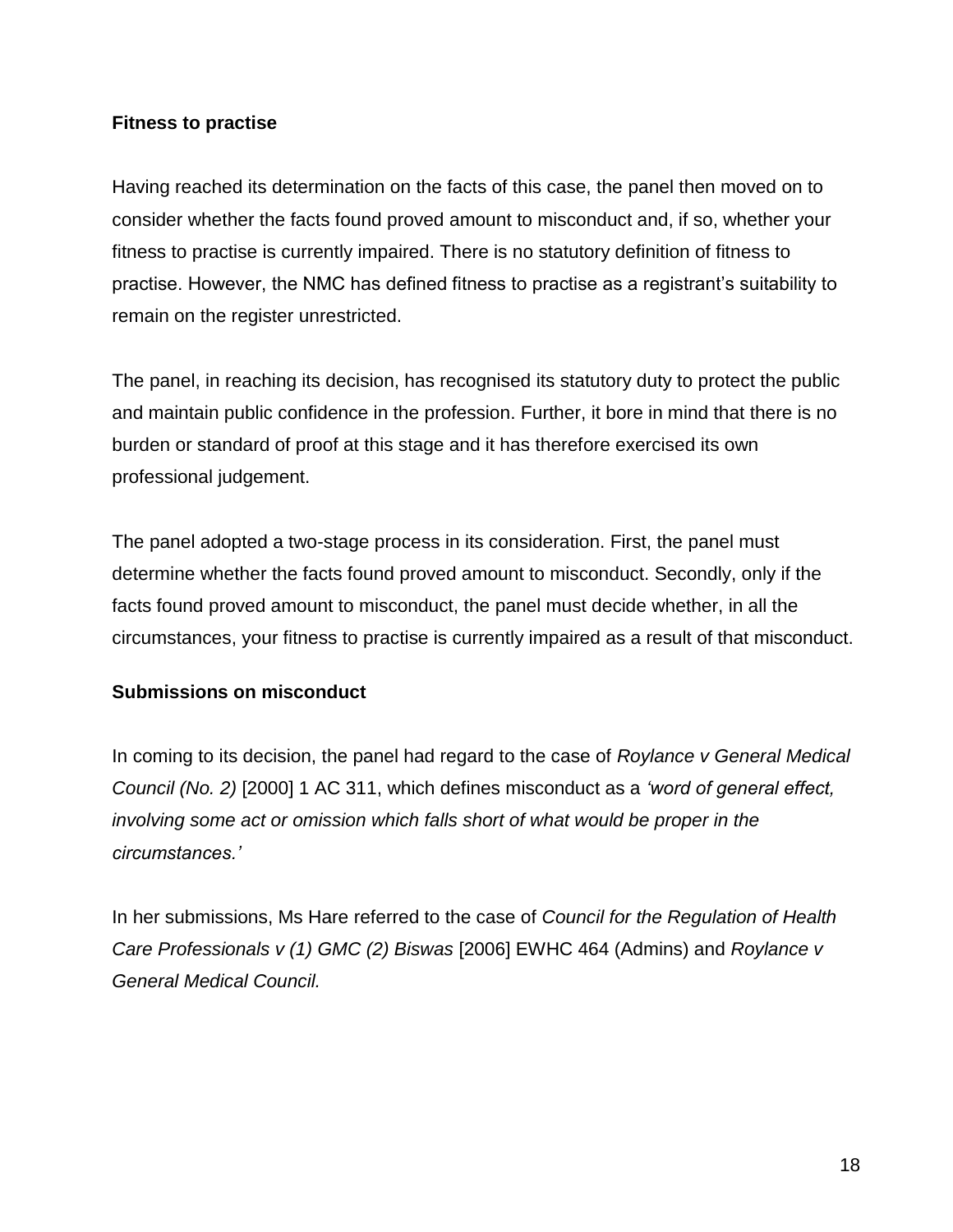#### **Fitness to practise**

Having reached its determination on the facts of this case, the panel then moved on to consider whether the facts found proved amount to misconduct and, if so, whether your fitness to practise is currently impaired. There is no statutory definition of fitness to practise. However, the NMC has defined fitness to practise as a registrant's suitability to remain on the register unrestricted.

The panel, in reaching its decision, has recognised its statutory duty to protect the public and maintain public confidence in the profession. Further, it bore in mind that there is no burden or standard of proof at this stage and it has therefore exercised its own professional judgement.

The panel adopted a two-stage process in its consideration. First, the panel must determine whether the facts found proved amount to misconduct. Secondly, only if the facts found proved amount to misconduct, the panel must decide whether, in all the circumstances, your fitness to practise is currently impaired as a result of that misconduct.

### **Submissions on misconduct**

In coming to its decision, the panel had regard to the case of *Roylance v General Medical Council (No. 2)* [2000] 1 AC 311, which defines misconduct as a *'word of general effect, involving some act or omission which falls short of what would be proper in the circumstances.'*

In her submissions, Ms Hare referred to the case of *Council for the Regulation of Health Care Professionals v (1) GMC (2) Biswas* [2006] EWHC 464 (Admins) and *Roylance v General Medical Council.*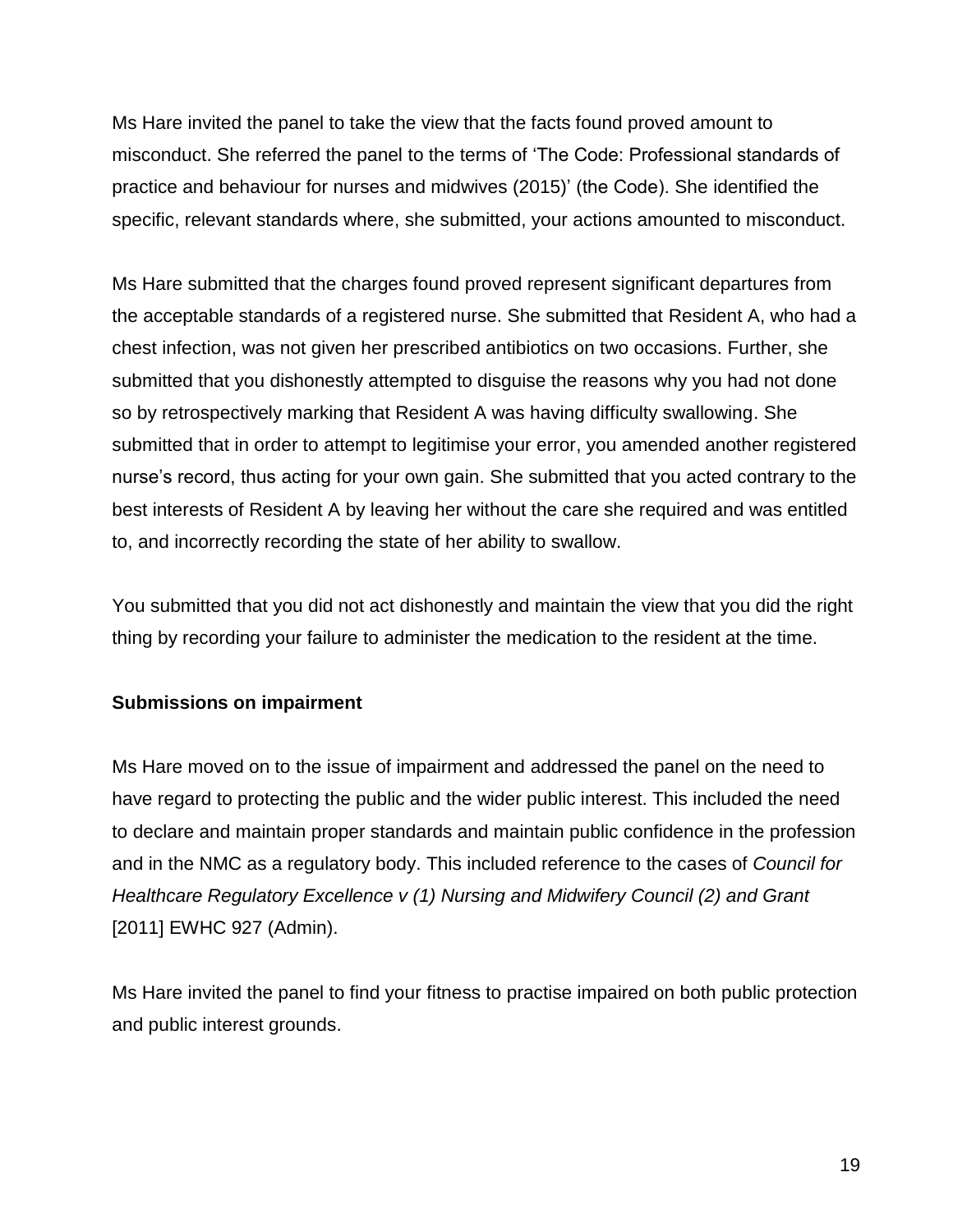Ms Hare invited the panel to take the view that the facts found proved amount to misconduct. She referred the panel to the terms of 'The Code: Professional standards of practice and behaviour for nurses and midwives (2015)' (the Code). She identified the specific, relevant standards where, she submitted, your actions amounted to misconduct.

Ms Hare submitted that the charges found proved represent significant departures from the acceptable standards of a registered nurse. She submitted that Resident A, who had a chest infection, was not given her prescribed antibiotics on two occasions. Further, she submitted that you dishonestly attempted to disguise the reasons why you had not done so by retrospectively marking that Resident A was having difficulty swallowing. She submitted that in order to attempt to legitimise your error, you amended another registered nurse's record, thus acting for your own gain. She submitted that you acted contrary to the best interests of Resident A by leaving her without the care she required and was entitled to, and incorrectly recording the state of her ability to swallow.

You submitted that you did not act dishonestly and maintain the view that you did the right thing by recording your failure to administer the medication to the resident at the time.

## **Submissions on impairment**

Ms Hare moved on to the issue of impairment and addressed the panel on the need to have regard to protecting the public and the wider public interest. This included the need to declare and maintain proper standards and maintain public confidence in the profession and in the NMC as a regulatory body. This included reference to the cases of *Council for Healthcare Regulatory Excellence v (1) Nursing and Midwifery Council (2) and Grant*  [2011] EWHC 927 (Admin).

Ms Hare invited the panel to find your fitness to practise impaired on both public protection and public interest grounds.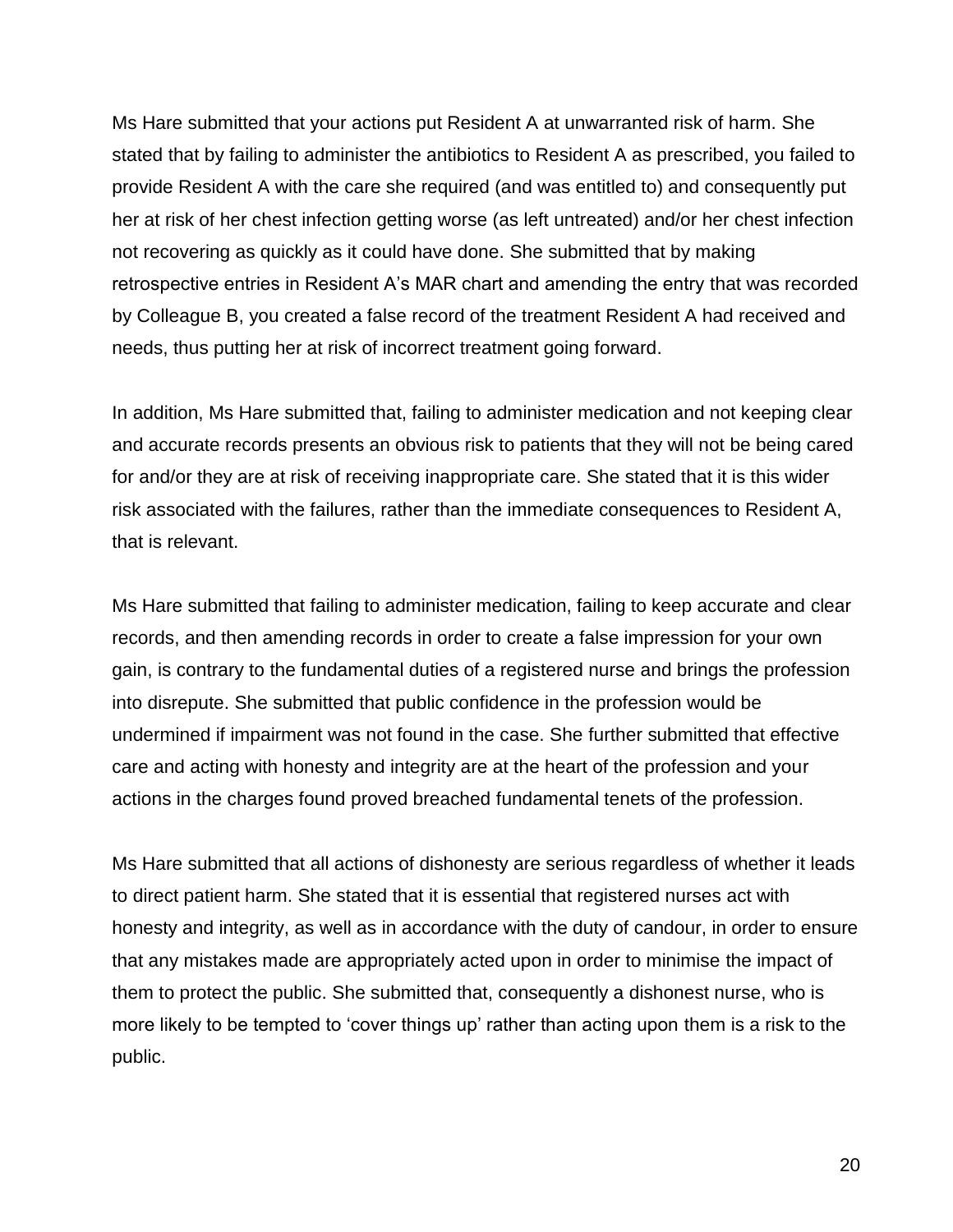Ms Hare submitted that your actions put Resident A at unwarranted risk of harm. She stated that by failing to administer the antibiotics to Resident A as prescribed, you failed to provide Resident A with the care she required (and was entitled to) and consequently put her at risk of her chest infection getting worse (as left untreated) and/or her chest infection not recovering as quickly as it could have done. She submitted that by making retrospective entries in Resident A's MAR chart and amending the entry that was recorded by Colleague B, you created a false record of the treatment Resident A had received and needs, thus putting her at risk of incorrect treatment going forward.

In addition, Ms Hare submitted that, failing to administer medication and not keeping clear and accurate records presents an obvious risk to patients that they will not be being cared for and/or they are at risk of receiving inappropriate care. She stated that it is this wider risk associated with the failures, rather than the immediate consequences to Resident A, that is relevant.

Ms Hare submitted that failing to administer medication, failing to keep accurate and clear records, and then amending records in order to create a false impression for your own gain, is contrary to the fundamental duties of a registered nurse and brings the profession into disrepute. She submitted that public confidence in the profession would be undermined if impairment was not found in the case. She further submitted that effective care and acting with honesty and integrity are at the heart of the profession and your actions in the charges found proved breached fundamental tenets of the profession.

Ms Hare submitted that all actions of dishonesty are serious regardless of whether it leads to direct patient harm. She stated that it is essential that registered nurses act with honesty and integrity, as well as in accordance with the duty of candour, in order to ensure that any mistakes made are appropriately acted upon in order to minimise the impact of them to protect the public. She submitted that, consequently a dishonest nurse, who is more likely to be tempted to 'cover things up' rather than acting upon them is a risk to the public.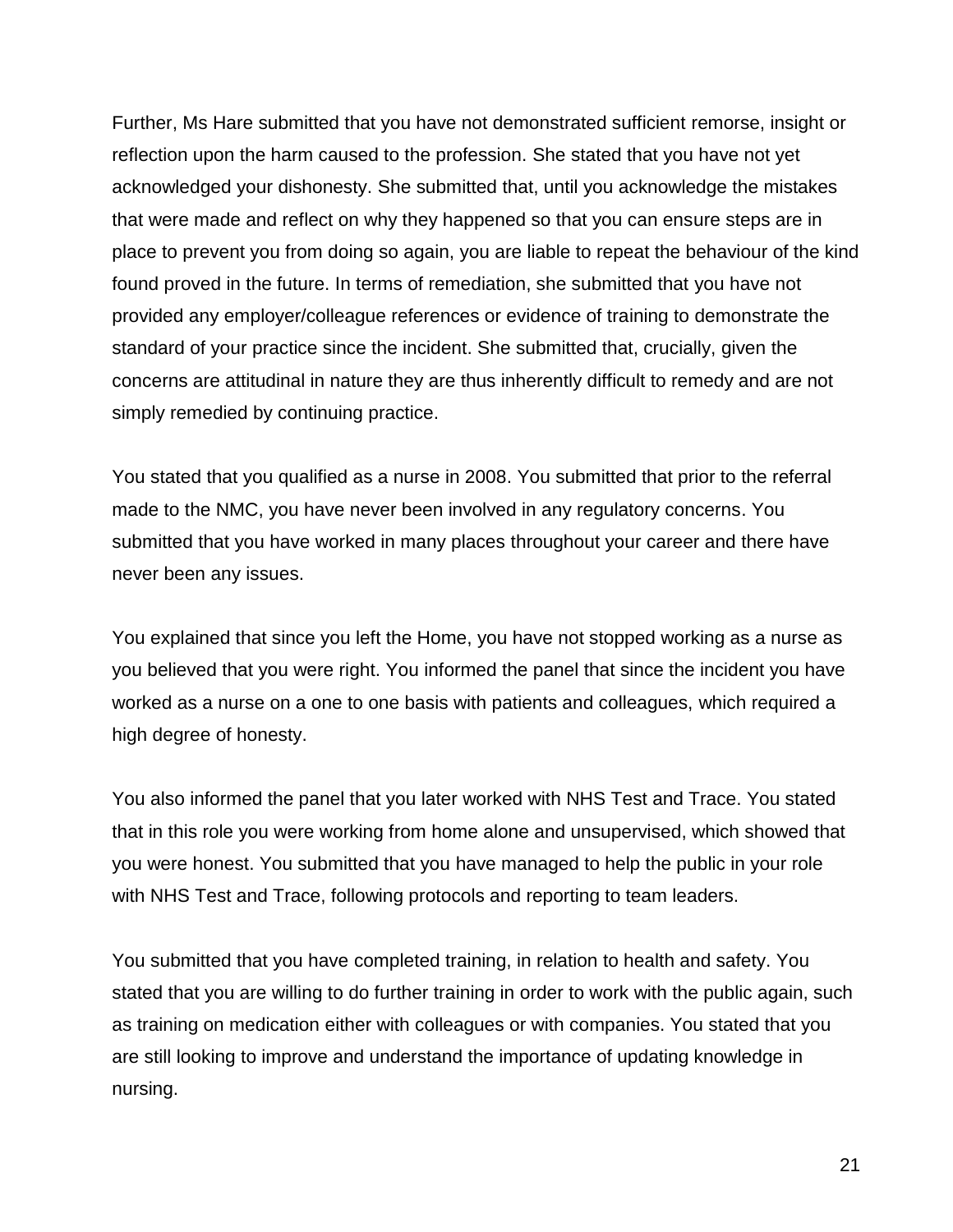Further, Ms Hare submitted that you have not demonstrated sufficient remorse, insight or reflection upon the harm caused to the profession. She stated that you have not yet acknowledged your dishonesty. She submitted that, until you acknowledge the mistakes that were made and reflect on why they happened so that you can ensure steps are in place to prevent you from doing so again, you are liable to repeat the behaviour of the kind found proved in the future. In terms of remediation, she submitted that you have not provided any employer/colleague references or evidence of training to demonstrate the standard of your practice since the incident. She submitted that, crucially, given the concerns are attitudinal in nature they are thus inherently difficult to remedy and are not simply remedied by continuing practice.

You stated that you qualified as a nurse in 2008. You submitted that prior to the referral made to the NMC, you have never been involved in any regulatory concerns. You submitted that you have worked in many places throughout your career and there have never been any issues.

You explained that since you left the Home, you have not stopped working as a nurse as you believed that you were right. You informed the panel that since the incident you have worked as a nurse on a one to one basis with patients and colleagues, which required a high degree of honesty.

You also informed the panel that you later worked with NHS Test and Trace. You stated that in this role you were working from home alone and unsupervised, which showed that you were honest. You submitted that you have managed to help the public in your role with NHS Test and Trace, following protocols and reporting to team leaders.

You submitted that you have completed training, in relation to health and safety. You stated that you are willing to do further training in order to work with the public again, such as training on medication either with colleagues or with companies. You stated that you are still looking to improve and understand the importance of updating knowledge in nursing.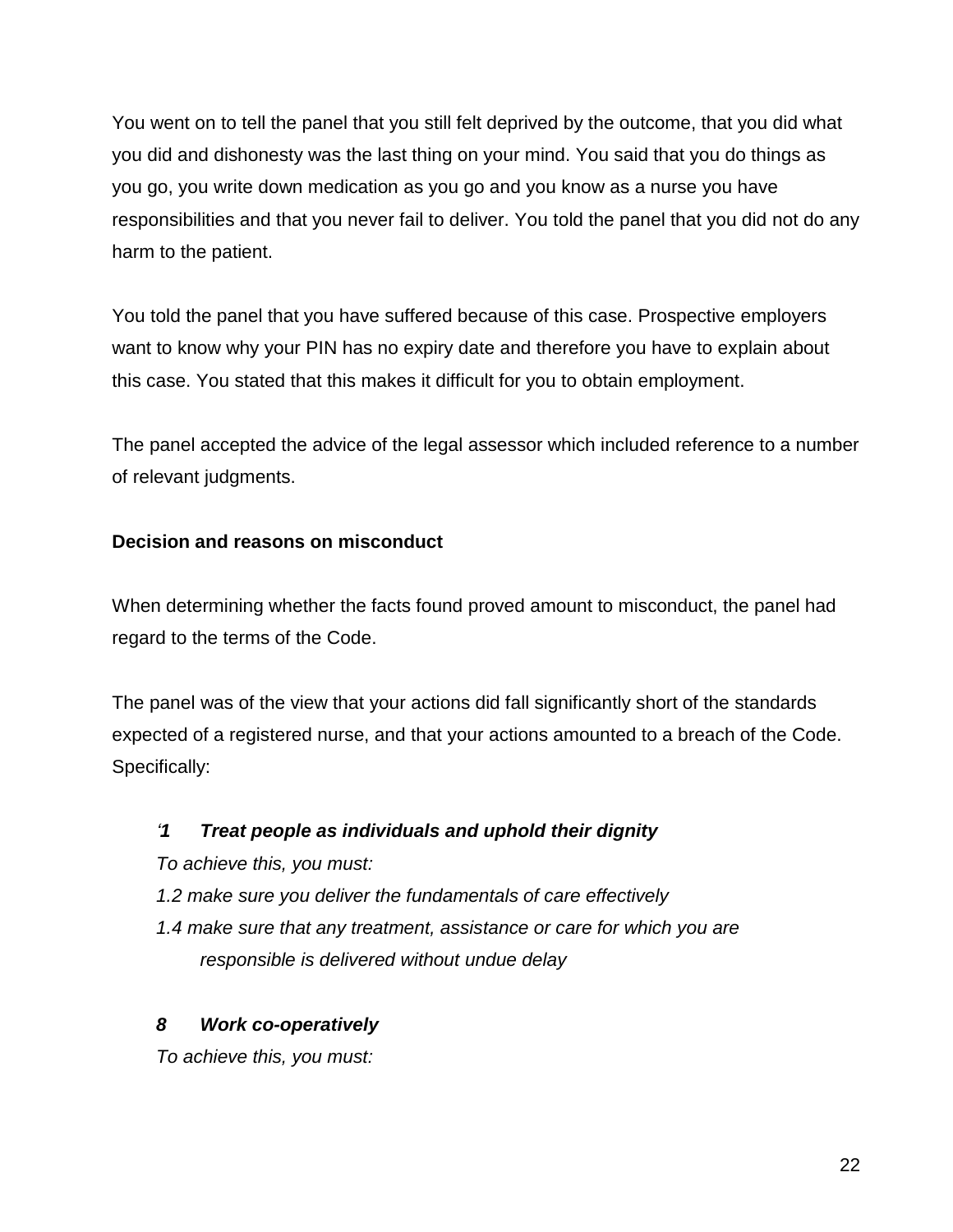You went on to tell the panel that you still felt deprived by the outcome, that you did what you did and dishonesty was the last thing on your mind. You said that you do things as you go, you write down medication as you go and you know as a nurse you have responsibilities and that you never fail to deliver. You told the panel that you did not do any harm to the patient.

You told the panel that you have suffered because of this case. Prospective employers want to know why your PIN has no expiry date and therefore you have to explain about this case. You stated that this makes it difficult for you to obtain employment.

The panel accepted the advice of the legal assessor which included reference to a number of relevant judgments.

## **Decision and reasons on misconduct**

When determining whether the facts found proved amount to misconduct, the panel had regard to the terms of the Code.

The panel was of the view that your actions did fall significantly short of the standards expected of a registered nurse, and that your actions amounted to a breach of the Code. Specifically:

## *'1 Treat people as individuals and uphold their dignity*

*To achieve this, you must:*

- *1.2 make sure you deliver the fundamentals of care effectively*
- *1.4 make sure that any treatment, assistance or care for which you are responsible is delivered without undue delay*

## *8 Work co-operatively*

*To achieve this, you must:*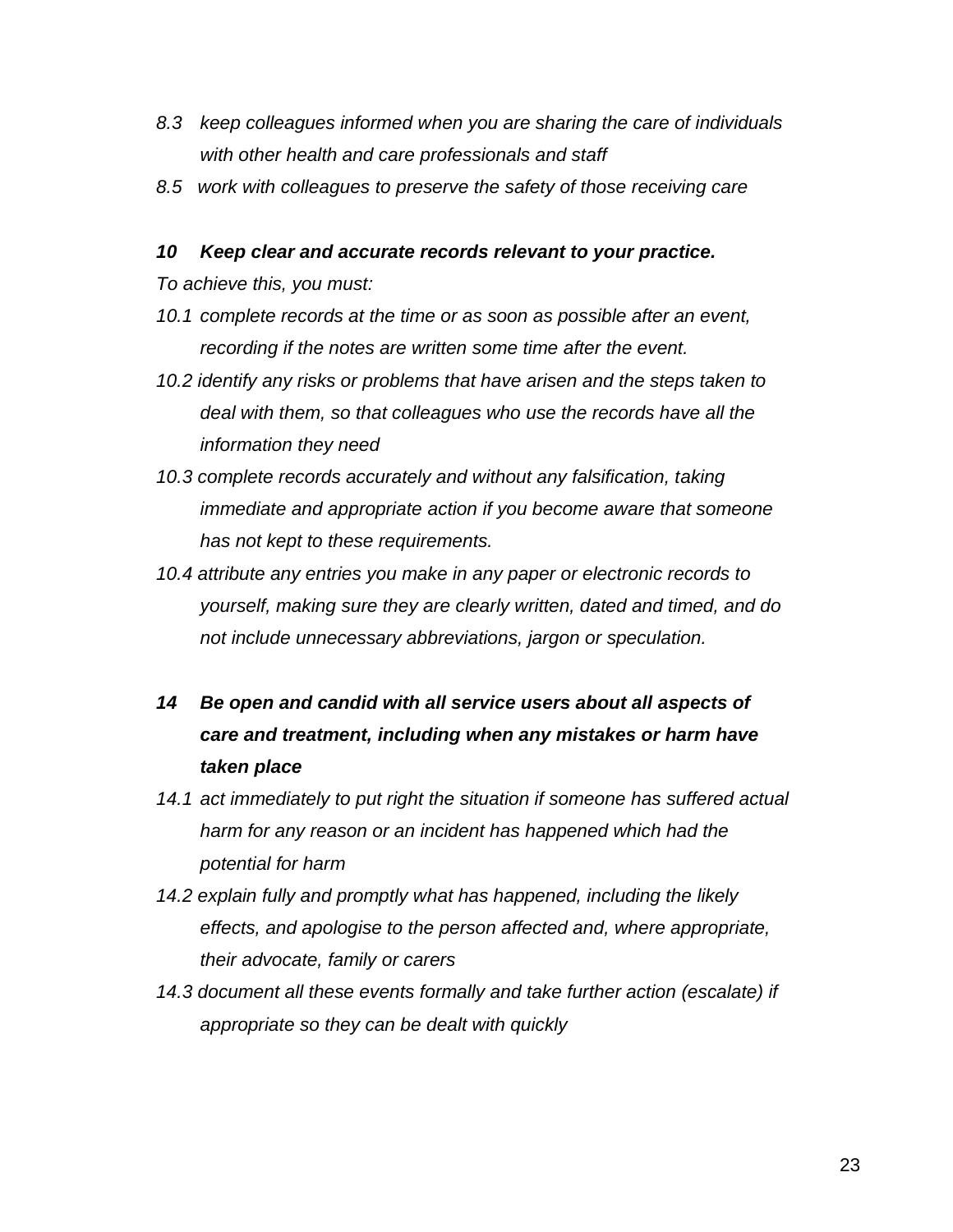- *8.3 keep colleagues informed when you are sharing the care of individuals with other health and care professionals and staff*
- *8.5 work with colleagues to preserve the safety of those receiving care*

#### *10 Keep clear and accurate records relevant to your practice.*

*To achieve this, you must:*

- *10.1 complete records at the time or as soon as possible after an event, recording if the notes are written some time after the event.*
- *10.2 identify any risks or problems that have arisen and the steps taken to deal with them, so that colleagues who use the records have all the information they need*
- *10.3 complete records accurately and without any falsification, taking immediate and appropriate action if you become aware that someone has not kept to these requirements.*
- *10.4 attribute any entries you make in any paper or electronic records to yourself, making sure they are clearly written, dated and timed, and do not include unnecessary abbreviations, jargon or speculation.*
- *14 Be open and candid with all service users about all aspects of care and treatment, including when any mistakes or harm have taken place*
- *14.1 act immediately to put right the situation if someone has suffered actual harm for any reason or an incident has happened which had the potential for harm*
- *14.2 explain fully and promptly what has happened, including the likely effects, and apologise to the person affected and, where appropriate, their advocate, family or carers*
- *14.3 document all these events formally and take further action (escalate) if appropriate so they can be dealt with quickly*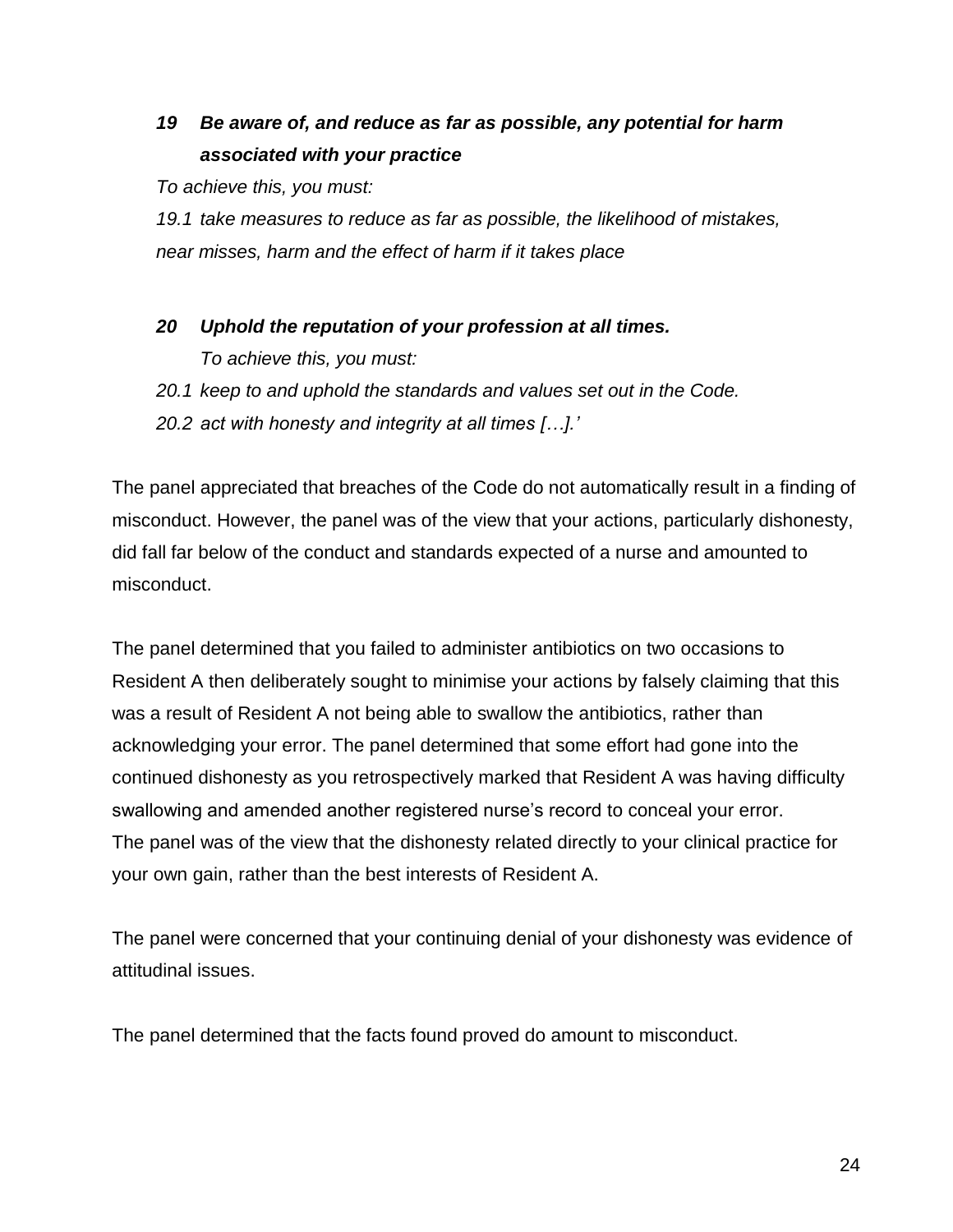# *19 Be aware of, and reduce as far as possible, any potential for harm associated with your practice*

*To achieve this, you must:* 

*19.1 take measures to reduce as far as possible, the likelihood of mistakes, near misses, harm and the effect of harm if it takes place*

- *20 Uphold the reputation of your profession at all times. To achieve this, you must:*
- *20.1 keep to and uphold the standards and values set out in the Code.*
- *20.2 act with honesty and integrity at all times […].'*

The panel appreciated that breaches of the Code do not automatically result in a finding of misconduct. However, the panel was of the view that your actions, particularly dishonesty, did fall far below of the conduct and standards expected of a nurse and amounted to misconduct.

The panel determined that you failed to administer antibiotics on two occasions to Resident A then deliberately sought to minimise your actions by falsely claiming that this was a result of Resident A not being able to swallow the antibiotics, rather than acknowledging your error. The panel determined that some effort had gone into the continued dishonesty as you retrospectively marked that Resident A was having difficulty swallowing and amended another registered nurse's record to conceal your error. The panel was of the view that the dishonesty related directly to your clinical practice for your own gain, rather than the best interests of Resident A.

The panel were concerned that your continuing denial of your dishonesty was evidence of attitudinal issues.

The panel determined that the facts found proved do amount to misconduct.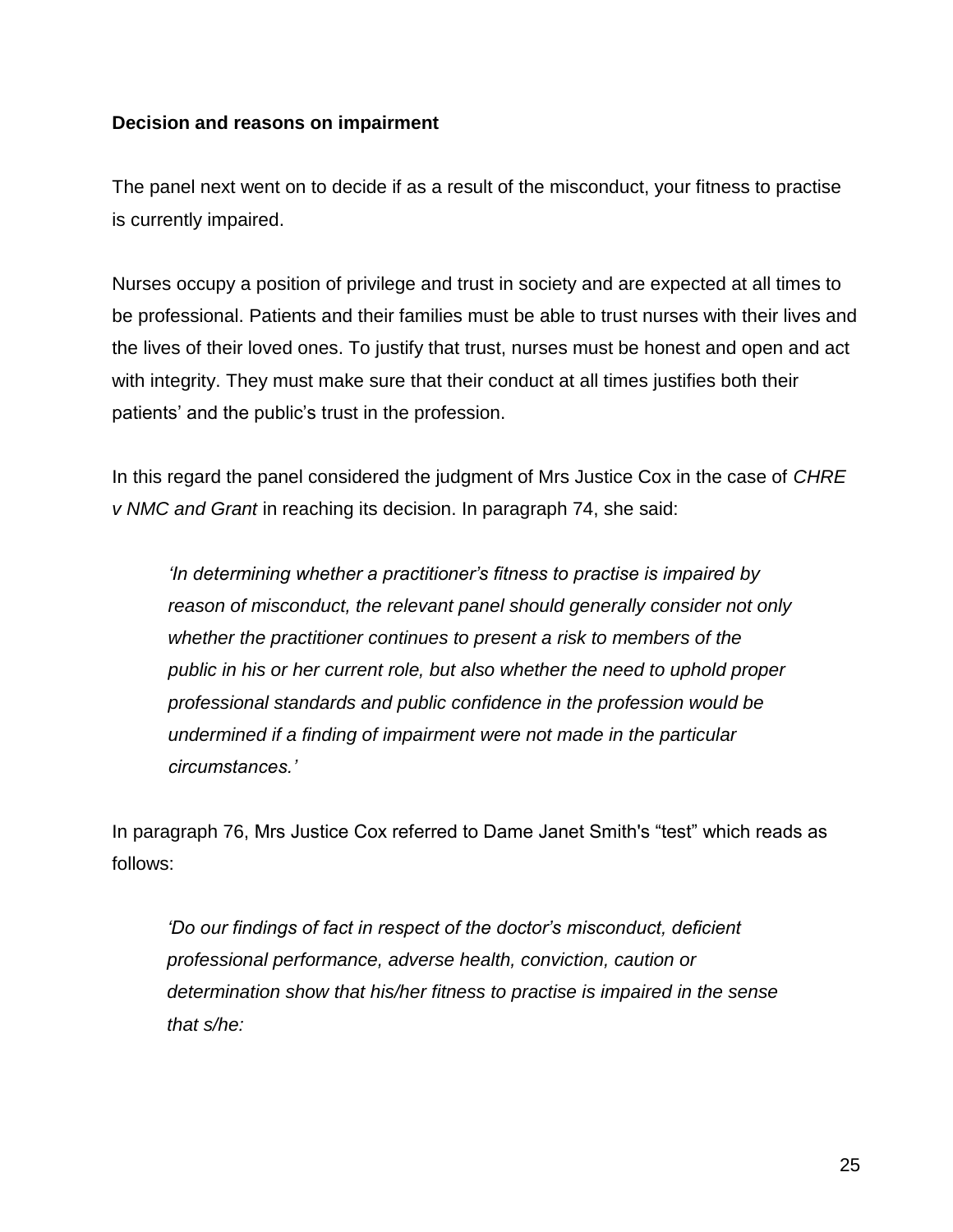#### **Decision and reasons on impairment**

The panel next went on to decide if as a result of the misconduct, your fitness to practise is currently impaired.

Nurses occupy a position of privilege and trust in society and are expected at all times to be professional. Patients and their families must be able to trust nurses with their lives and the lives of their loved ones. To justify that trust, nurses must be honest and open and act with integrity. They must make sure that their conduct at all times justifies both their patients' and the public's trust in the profession.

In this regard the panel considered the judgment of Mrs Justice Cox in the case of *CHRE v NMC and Grant* in reaching its decision. In paragraph 74, she said:

*'In determining whether a practitioner's fitness to practise is impaired by reason of misconduct, the relevant panel should generally consider not only whether the practitioner continues to present a risk to members of the public in his or her current role, but also whether the need to uphold proper professional standards and public confidence in the profession would be undermined if a finding of impairment were not made in the particular circumstances.'*

In paragraph 76, Mrs Justice Cox referred to Dame Janet Smith's "test" which reads as follows:

*'Do our findings of fact in respect of the doctor's misconduct, deficient professional performance, adverse health, conviction, caution or determination show that his/her fitness to practise is impaired in the sense that s/he:*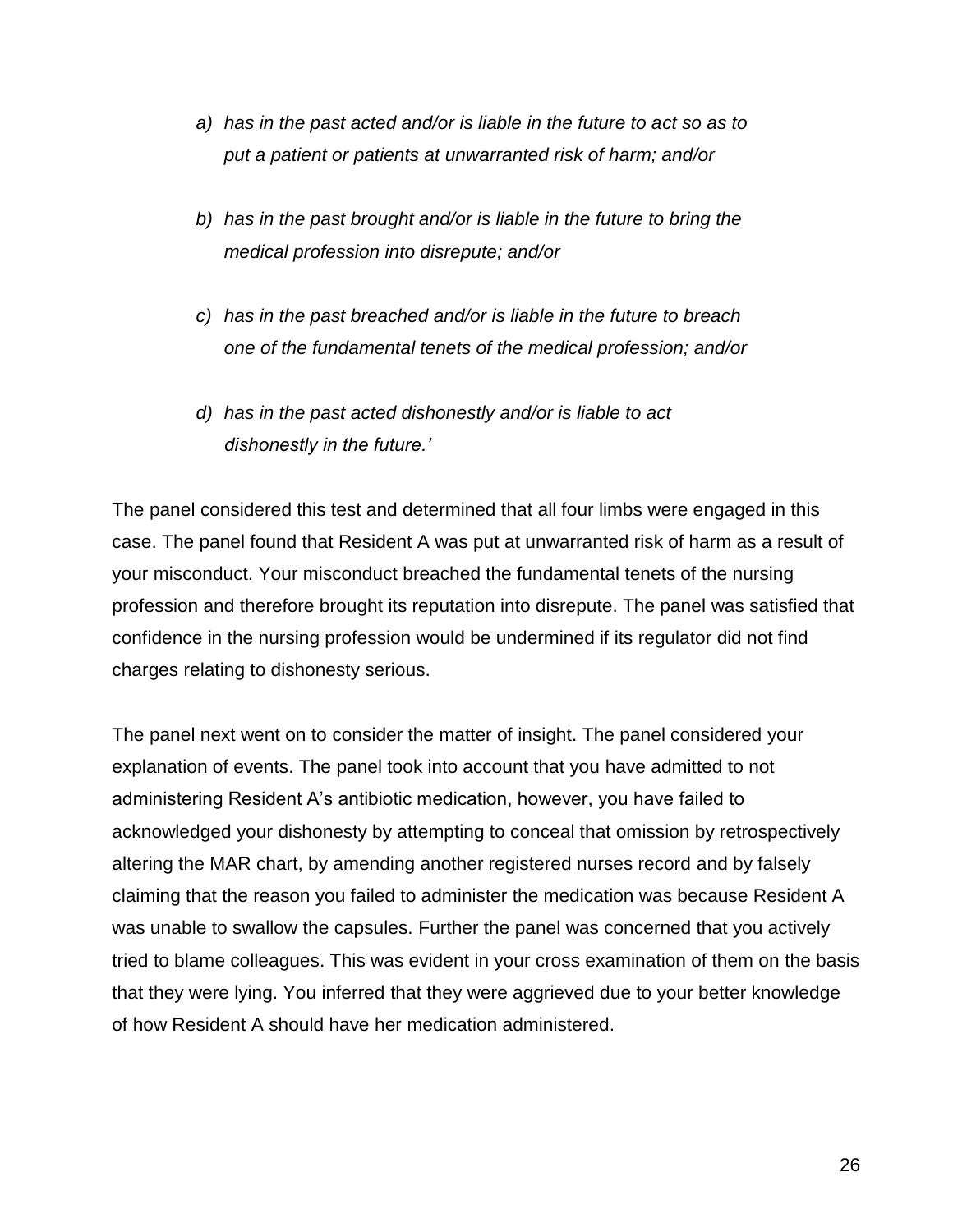- *a) has in the past acted and/or is liable in the future to act so as to put a patient or patients at unwarranted risk of harm; and/or*
- *b) has in the past brought and/or is liable in the future to bring the medical profession into disrepute; and/or*
- *c) has in the past breached and/or is liable in the future to breach one of the fundamental tenets of the medical profession; and/or*
- *d) has in the past acted dishonestly and/or is liable to act dishonestly in the future.'*

The panel considered this test and determined that all four limbs were engaged in this case. The panel found that Resident A was put at unwarranted risk of harm as a result of your misconduct. Your misconduct breached the fundamental tenets of the nursing profession and therefore brought its reputation into disrepute. The panel was satisfied that confidence in the nursing profession would be undermined if its regulator did not find charges relating to dishonesty serious.

The panel next went on to consider the matter of insight. The panel considered your explanation of events. The panel took into account that you have admitted to not administering Resident A's antibiotic medication, however, you have failed to acknowledged your dishonesty by attempting to conceal that omission by retrospectively altering the MAR chart, by amending another registered nurses record and by falsely claiming that the reason you failed to administer the medication was because Resident A was unable to swallow the capsules. Further the panel was concerned that you actively tried to blame colleagues. This was evident in your cross examination of them on the basis that they were lying. You inferred that they were aggrieved due to your better knowledge of how Resident A should have her medication administered.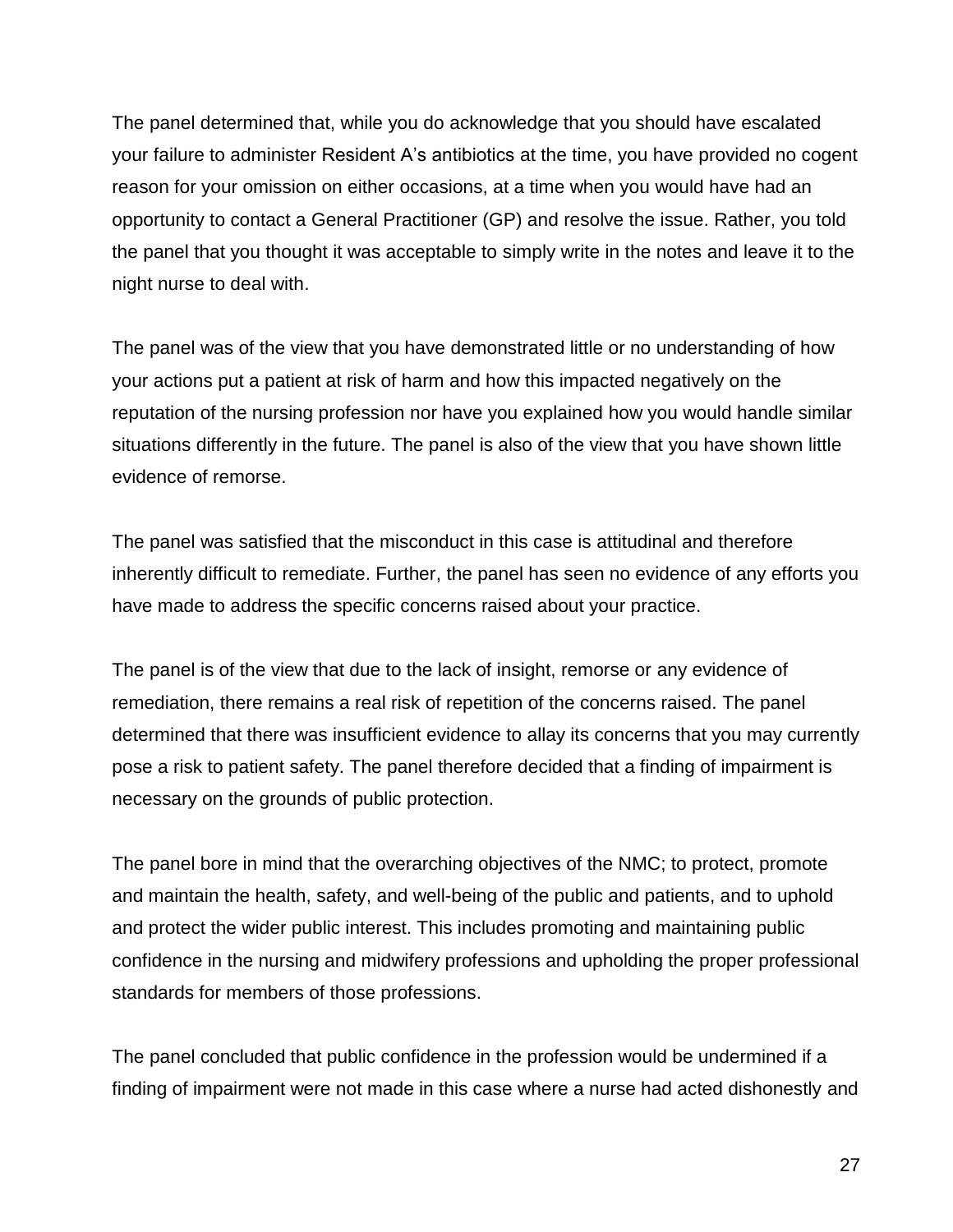The panel determined that, while you do acknowledge that you should have escalated your failure to administer Resident A's antibiotics at the time, you have provided no cogent reason for your omission on either occasions, at a time when you would have had an opportunity to contact a General Practitioner (GP) and resolve the issue. Rather, you told the panel that you thought it was acceptable to simply write in the notes and leave it to the night nurse to deal with.

The panel was of the view that you have demonstrated little or no understanding of how your actions put a patient at risk of harm and how this impacted negatively on the reputation of the nursing profession nor have you explained how you would handle similar situations differently in the future. The panel is also of the view that you have shown little evidence of remorse.

The panel was satisfied that the misconduct in this case is attitudinal and therefore inherently difficult to remediate. Further, the panel has seen no evidence of any efforts you have made to address the specific concerns raised about your practice.

The panel is of the view that due to the lack of insight, remorse or any evidence of remediation, there remains a real risk of repetition of the concerns raised. The panel determined that there was insufficient evidence to allay its concerns that you may currently pose a risk to patient safety. The panel therefore decided that a finding of impairment is necessary on the grounds of public protection.

The panel bore in mind that the overarching objectives of the NMC; to protect, promote and maintain the health, safety, and well-being of the public and patients, and to uphold and protect the wider public interest. This includes promoting and maintaining public confidence in the nursing and midwifery professions and upholding the proper professional standards for members of those professions.

The panel concluded that public confidence in the profession would be undermined if a finding of impairment were not made in this case where a nurse had acted dishonestly and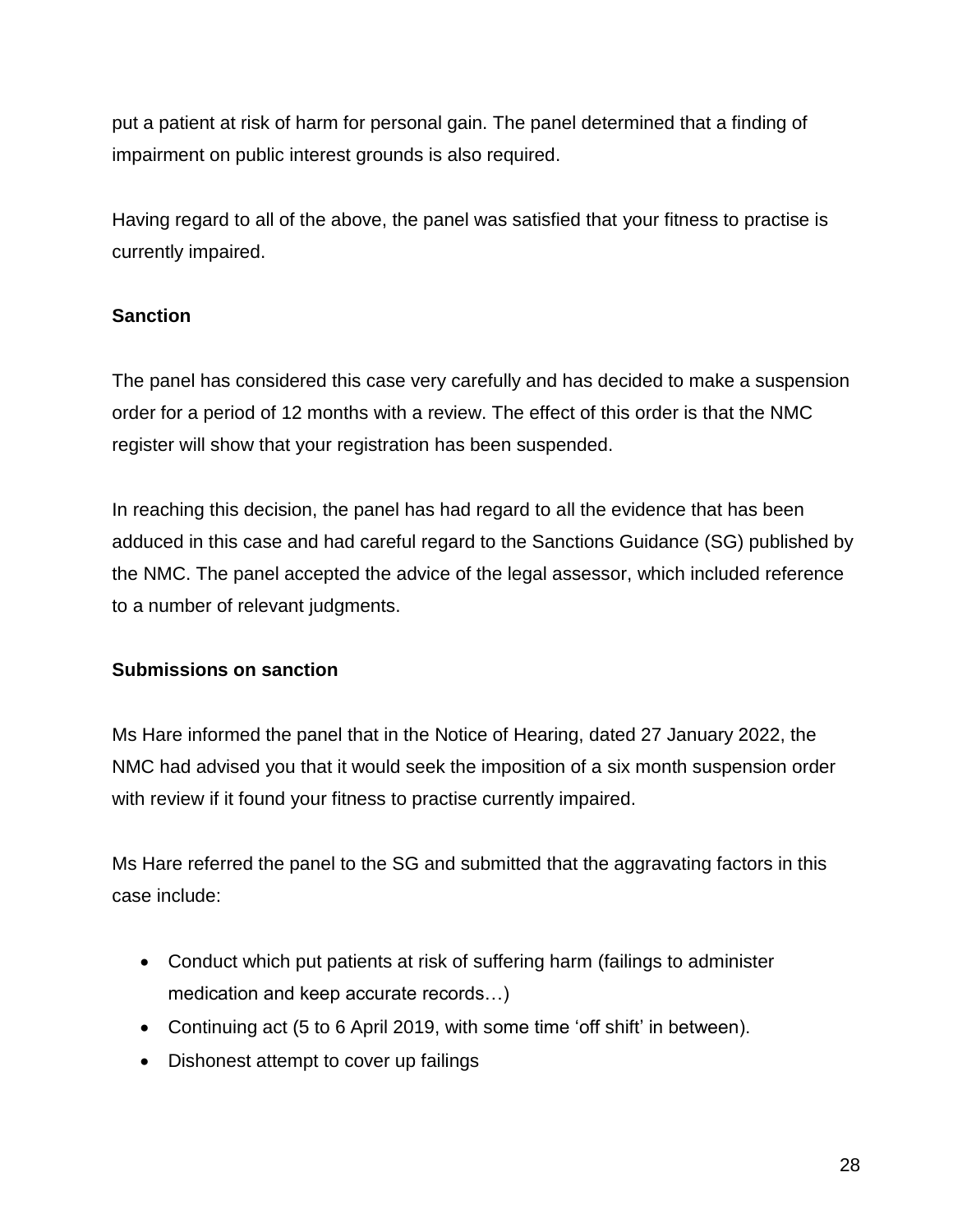put a patient at risk of harm for personal gain. The panel determined that a finding of impairment on public interest grounds is also required.

Having regard to all of the above, the panel was satisfied that your fitness to practise is currently impaired.

## **Sanction**

The panel has considered this case very carefully and has decided to make a suspension order for a period of 12 months with a review. The effect of this order is that the NMC register will show that your registration has been suspended.

In reaching this decision, the panel has had regard to all the evidence that has been adduced in this case and had careful regard to the Sanctions Guidance (SG) published by the NMC. The panel accepted the advice of the legal assessor, which included reference to a number of relevant judgments.

### **Submissions on sanction**

Ms Hare informed the panel that in the Notice of Hearing, dated 27 January 2022, the NMC had advised you that it would seek the imposition of a six month suspension order with review if it found your fitness to practise currently impaired.

Ms Hare referred the panel to the SG and submitted that the aggravating factors in this case include:

- Conduct which put patients at risk of suffering harm (failings to administer medication and keep accurate records…)
- Continuing act (5 to 6 April 2019, with some time 'off shift' in between).
- Dishonest attempt to cover up failings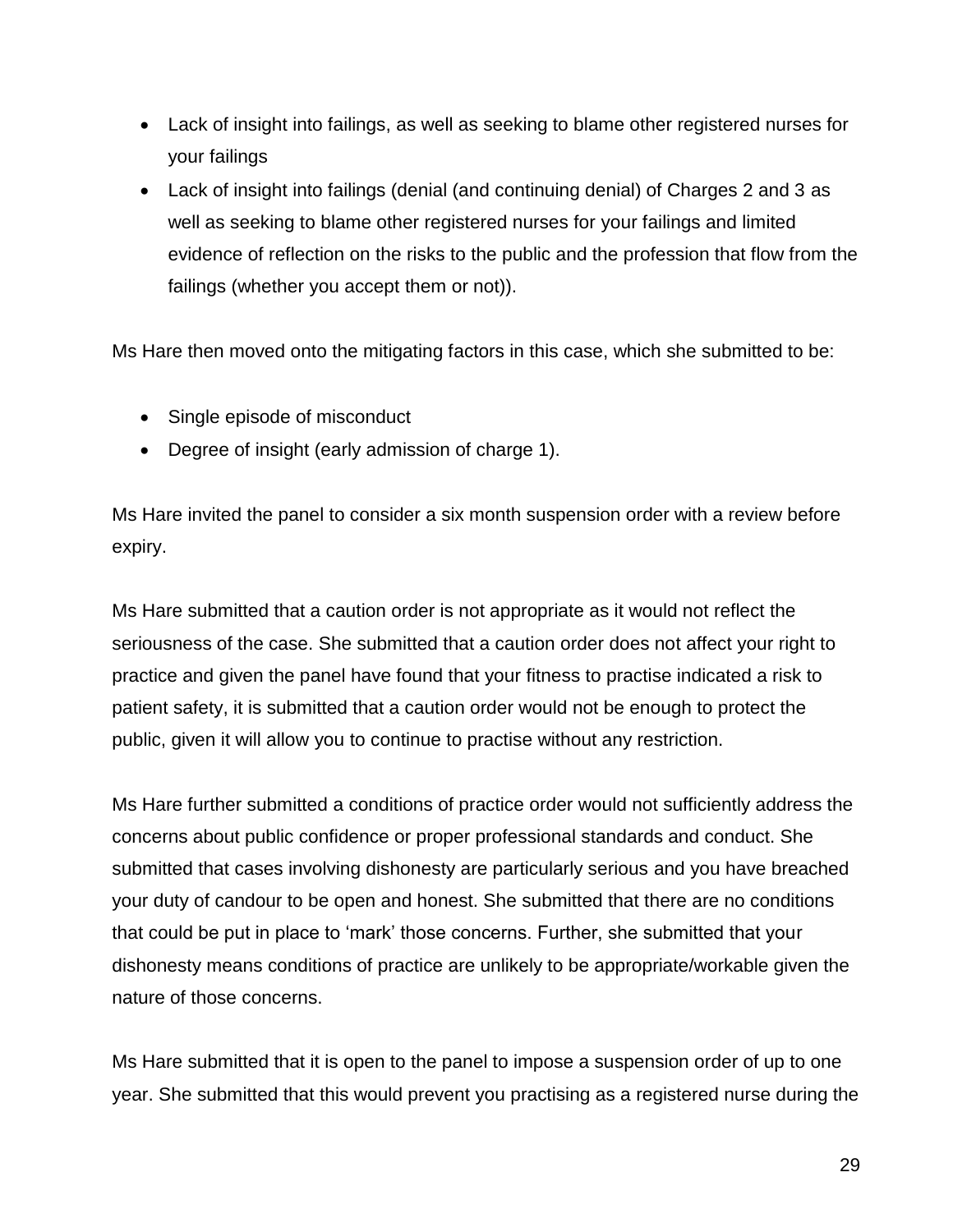- Lack of insight into failings, as well as seeking to blame other registered nurses for your failings
- Lack of insight into failings (denial (and continuing denial) of Charges 2 and 3 as well as seeking to blame other registered nurses for your failings and limited evidence of reflection on the risks to the public and the profession that flow from the failings (whether you accept them or not)).

Ms Hare then moved onto the mitigating factors in this case, which she submitted to be:

- Single episode of misconduct
- Degree of insight (early admission of charge 1).

Ms Hare invited the panel to consider a six month suspension order with a review before expiry.

Ms Hare submitted that a caution order is not appropriate as it would not reflect the seriousness of the case. She submitted that a caution order does not affect your right to practice and given the panel have found that your fitness to practise indicated a risk to patient safety, it is submitted that a caution order would not be enough to protect the public, given it will allow you to continue to practise without any restriction.

Ms Hare further submitted a conditions of practice order would not sufficiently address the concerns about public confidence or proper professional standards and conduct. She submitted that cases involving dishonesty are particularly serious and you have breached your duty of candour to be open and honest. She submitted that there are no conditions that could be put in place to 'mark' those concerns. Further, she submitted that your dishonesty means conditions of practice are unlikely to be appropriate/workable given the nature of those concerns.

Ms Hare submitted that it is open to the panel to impose a suspension order of up to one year. She submitted that this would prevent you practising as a registered nurse during the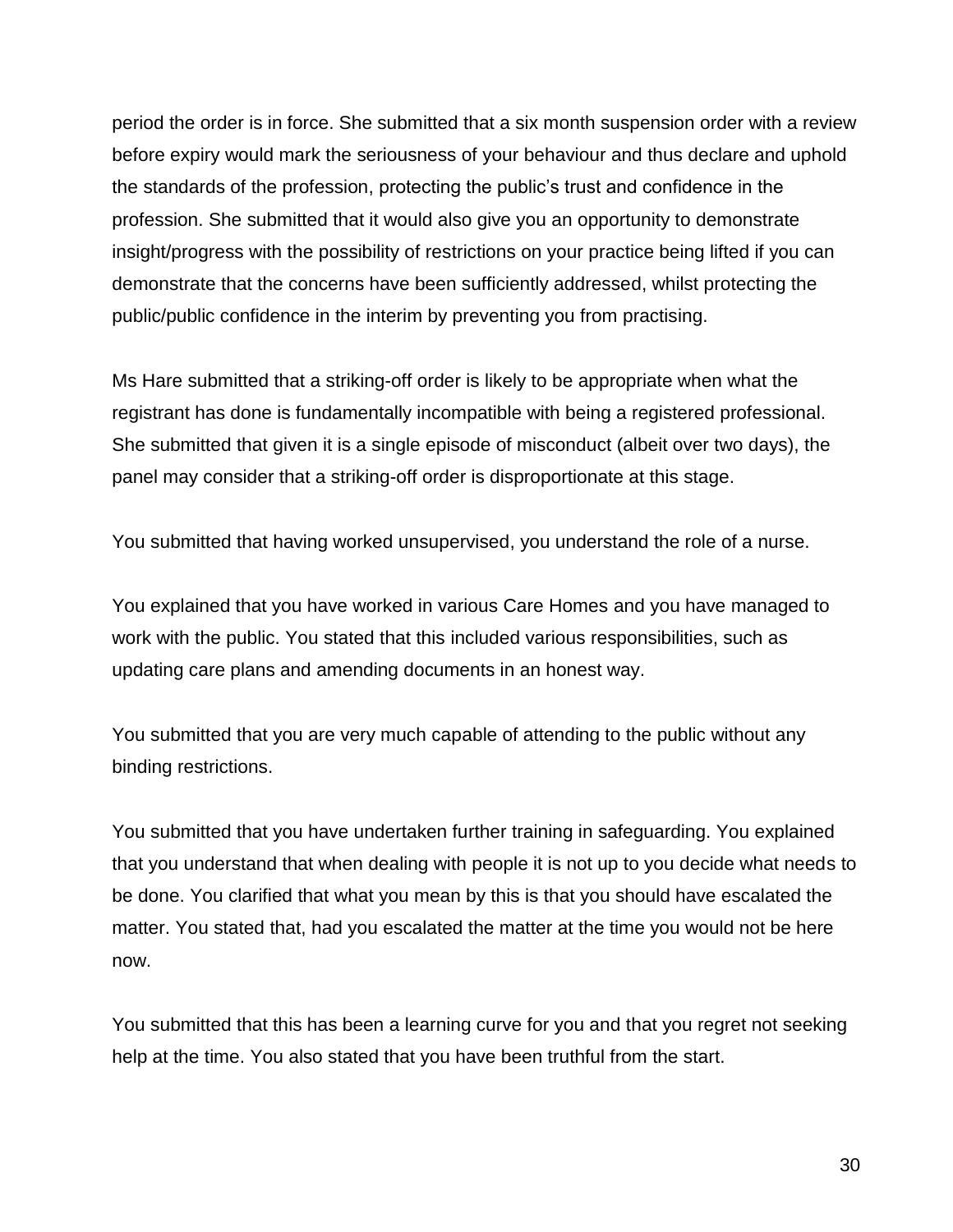period the order is in force. She submitted that a six month suspension order with a review before expiry would mark the seriousness of your behaviour and thus declare and uphold the standards of the profession, protecting the public's trust and confidence in the profession. She submitted that it would also give you an opportunity to demonstrate insight/progress with the possibility of restrictions on your practice being lifted if you can demonstrate that the concerns have been sufficiently addressed, whilst protecting the public/public confidence in the interim by preventing you from practising.

Ms Hare submitted that a striking-off order is likely to be appropriate when what the registrant has done is fundamentally incompatible with being a registered professional. She submitted that given it is a single episode of misconduct (albeit over two days), the panel may consider that a striking-off order is disproportionate at this stage.

You submitted that having worked unsupervised, you understand the role of a nurse.

You explained that you have worked in various Care Homes and you have managed to work with the public. You stated that this included various responsibilities, such as updating care plans and amending documents in an honest way.

You submitted that you are very much capable of attending to the public without any binding restrictions.

You submitted that you have undertaken further training in safeguarding. You explained that you understand that when dealing with people it is not up to you decide what needs to be done. You clarified that what you mean by this is that you should have escalated the matter. You stated that, had you escalated the matter at the time you would not be here now.

You submitted that this has been a learning curve for you and that you regret not seeking help at the time. You also stated that you have been truthful from the start.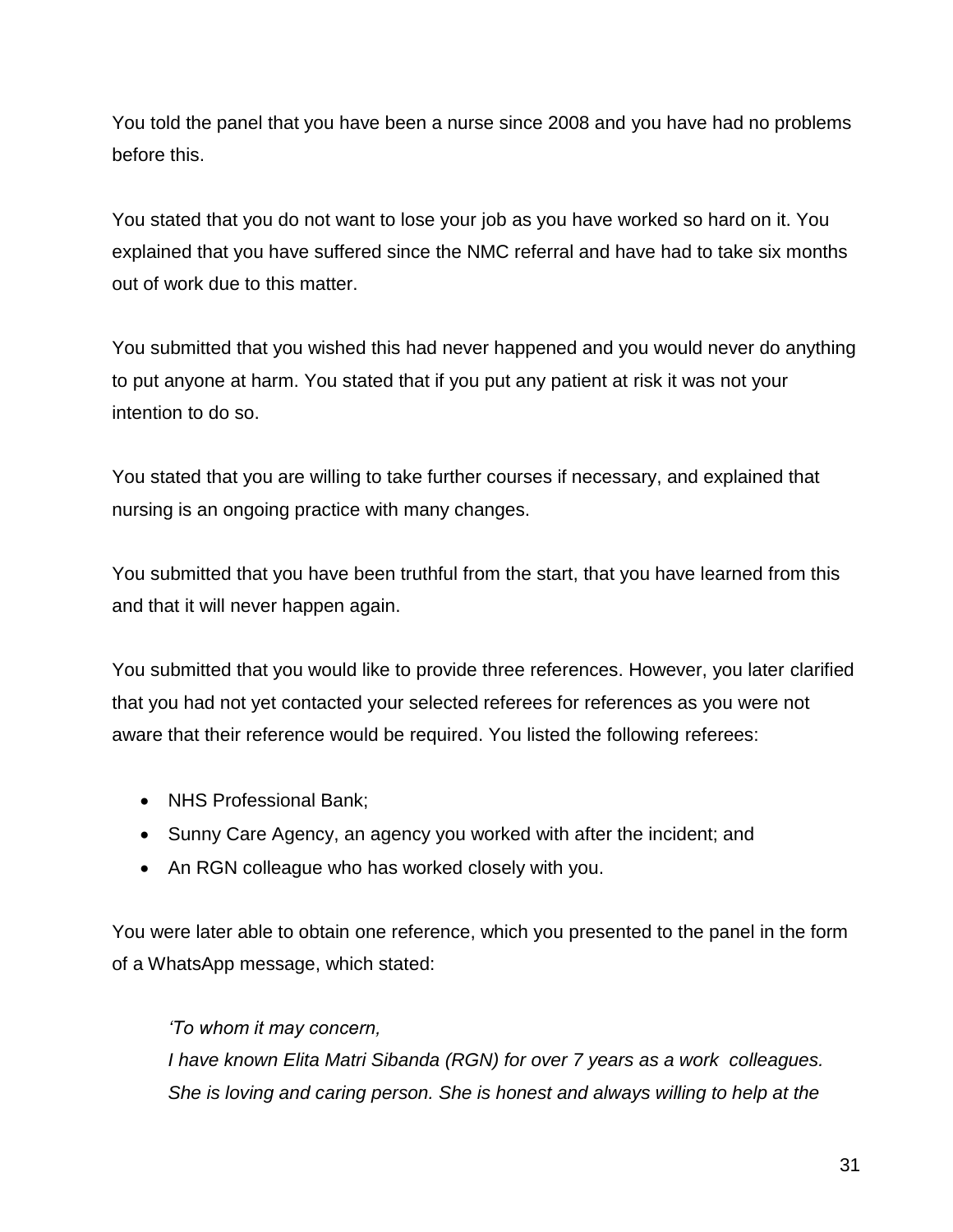You told the panel that you have been a nurse since 2008 and you have had no problems before this.

You stated that you do not want to lose your job as you have worked so hard on it. You explained that you have suffered since the NMC referral and have had to take six months out of work due to this matter.

You submitted that you wished this had never happened and you would never do anything to put anyone at harm. You stated that if you put any patient at risk it was not your intention to do so.

You stated that you are willing to take further courses if necessary, and explained that nursing is an ongoing practice with many changes.

You submitted that you have been truthful from the start, that you have learned from this and that it will never happen again.

You submitted that you would like to provide three references. However, you later clarified that you had not yet contacted your selected referees for references as you were not aware that their reference would be required. You listed the following referees:

- NHS Professional Bank;
- Sunny Care Agency, an agency you worked with after the incident; and
- An RGN colleague who has worked closely with you.

You were later able to obtain one reference, which you presented to the panel in the form of a WhatsApp message, which stated:

*'To whom it may concern,* 

*I have known Elita Matri Sibanda (RGN) for over 7 years as a work colleagues. She is loving and caring person. She is honest and always willing to help at the*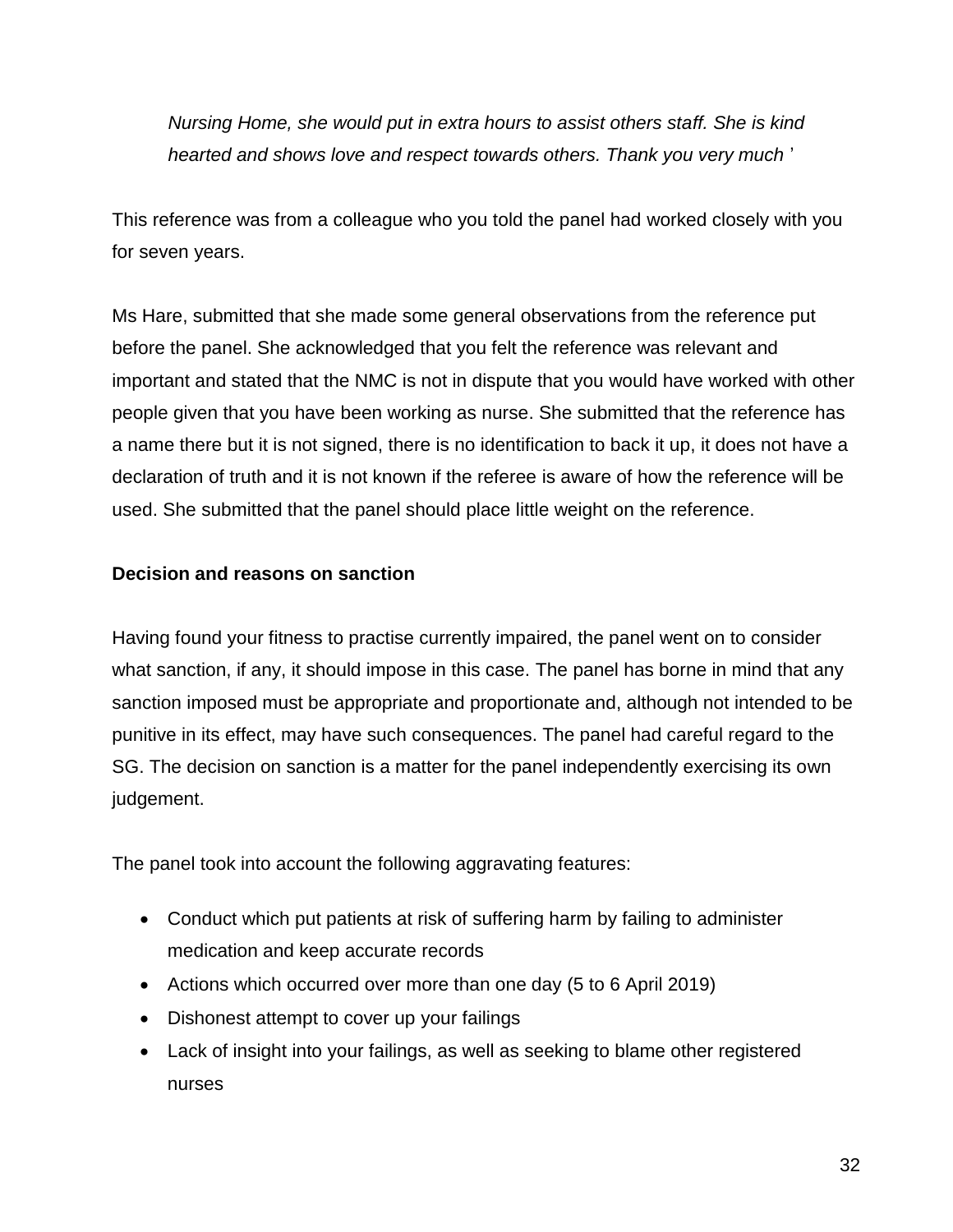*Nursing Home, she would put in extra hours to assist others staff. She is kind hearted and shows love and respect towards others. Thank you very much* '

This reference was from a colleague who you told the panel had worked closely with you for seven years.

Ms Hare, submitted that she made some general observations from the reference put before the panel. She acknowledged that you felt the reference was relevant and important and stated that the NMC is not in dispute that you would have worked with other people given that you have been working as nurse. She submitted that the reference has a name there but it is not signed, there is no identification to back it up, it does not have a declaration of truth and it is not known if the referee is aware of how the reference will be used. She submitted that the panel should place little weight on the reference.

### **Decision and reasons on sanction**

Having found your fitness to practise currently impaired, the panel went on to consider what sanction, if any, it should impose in this case. The panel has borne in mind that any sanction imposed must be appropriate and proportionate and, although not intended to be punitive in its effect, may have such consequences. The panel had careful regard to the SG. The decision on sanction is a matter for the panel independently exercising its own judgement.

The panel took into account the following aggravating features:

- Conduct which put patients at risk of suffering harm by failing to administer medication and keep accurate records
- Actions which occurred over more than one day (5 to 6 April 2019)
- Dishonest attempt to cover up your failings
- Lack of insight into your failings, as well as seeking to blame other registered nurses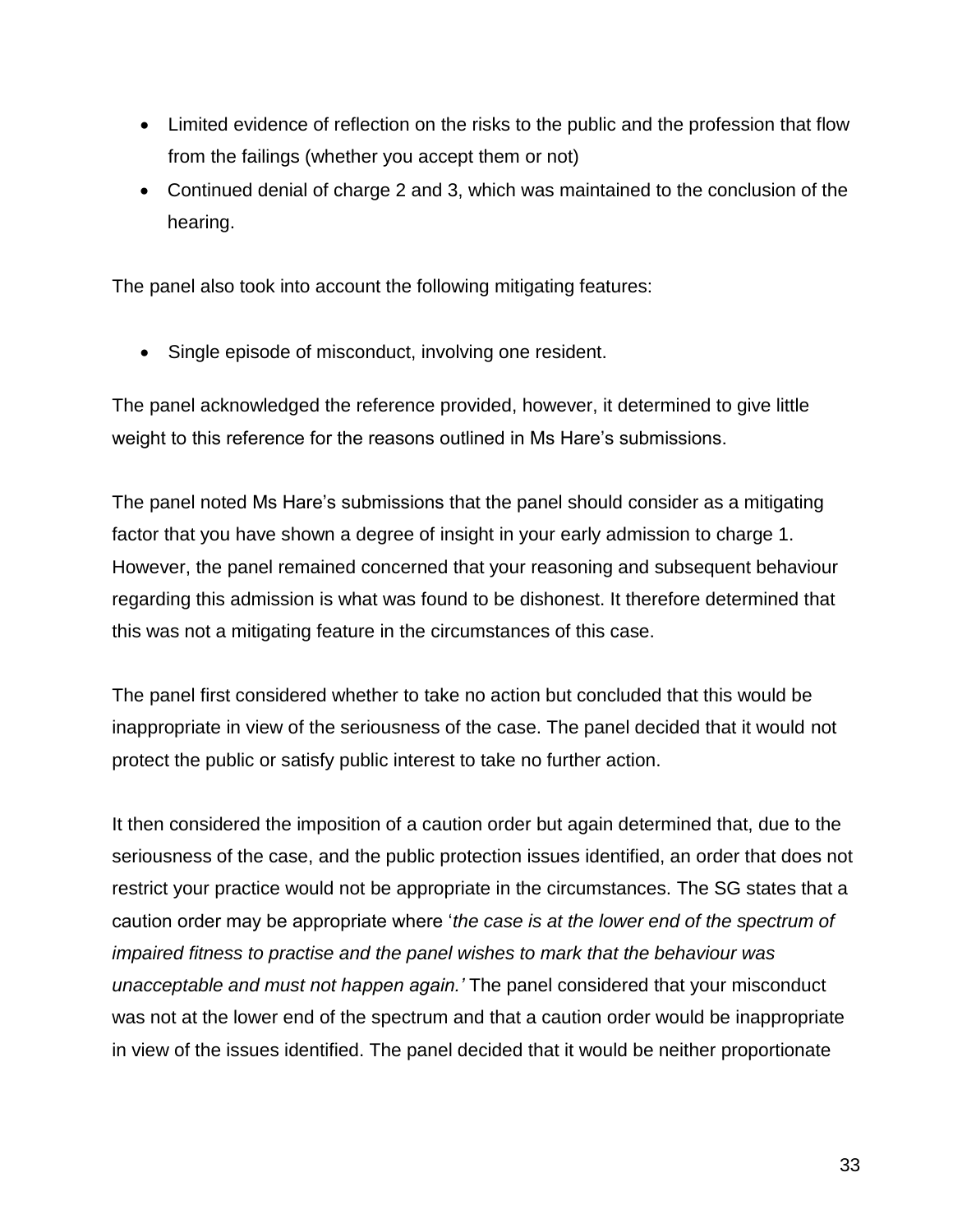- Limited evidence of reflection on the risks to the public and the profession that flow from the failings (whether you accept them or not)
- Continued denial of charge 2 and 3, which was maintained to the conclusion of the hearing.

The panel also took into account the following mitigating features:

• Single episode of misconduct, involving one resident.

The panel acknowledged the reference provided, however, it determined to give little weight to this reference for the reasons outlined in Ms Hare's submissions.

The panel noted Ms Hare's submissions that the panel should consider as a mitigating factor that you have shown a degree of insight in your early admission to charge 1. However, the panel remained concerned that your reasoning and subsequent behaviour regarding this admission is what was found to be dishonest. It therefore determined that this was not a mitigating feature in the circumstances of this case.

The panel first considered whether to take no action but concluded that this would be inappropriate in view of the seriousness of the case. The panel decided that it would not protect the public or satisfy public interest to take no further action.

It then considered the imposition of a caution order but again determined that, due to the seriousness of the case, and the public protection issues identified, an order that does not restrict your practice would not be appropriate in the circumstances. The SG states that a caution order may be appropriate where '*the case is at the lower end of the spectrum of impaired fitness to practise and the panel wishes to mark that the behaviour was unacceptable and must not happen again.'* The panel considered that your misconduct was not at the lower end of the spectrum and that a caution order would be inappropriate in view of the issues identified. The panel decided that it would be neither proportionate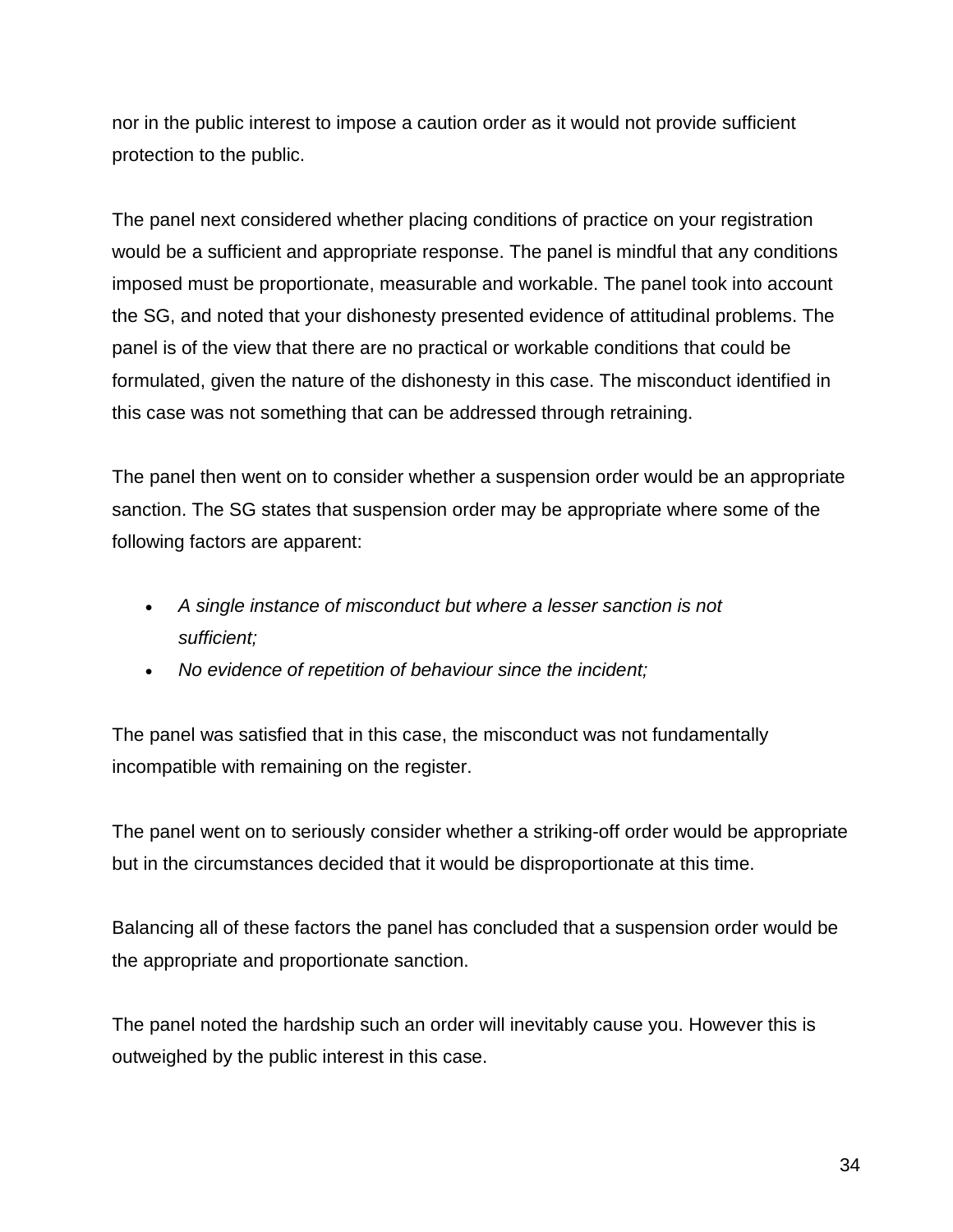nor in the public interest to impose a caution order as it would not provide sufficient protection to the public.

The panel next considered whether placing conditions of practice on your registration would be a sufficient and appropriate response. The panel is mindful that any conditions imposed must be proportionate, measurable and workable. The panel took into account the SG, and noted that your dishonesty presented evidence of attitudinal problems. The panel is of the view that there are no practical or workable conditions that could be formulated, given the nature of the dishonesty in this case. The misconduct identified in this case was not something that can be addressed through retraining.

The panel then went on to consider whether a suspension order would be an appropriate sanction. The SG states that suspension order may be appropriate where some of the following factors are apparent:

- *A single instance of misconduct but where a lesser sanction is not sufficient;*
- *No evidence of repetition of behaviour since the incident;*

The panel was satisfied that in this case, the misconduct was not fundamentally incompatible with remaining on the register.

The panel went on to seriously consider whether a striking-off order would be appropriate but in the circumstances decided that it would be disproportionate at this time.

Balancing all of these factors the panel has concluded that a suspension order would be the appropriate and proportionate sanction.

The panel noted the hardship such an order will inevitably cause you. However this is outweighed by the public interest in this case.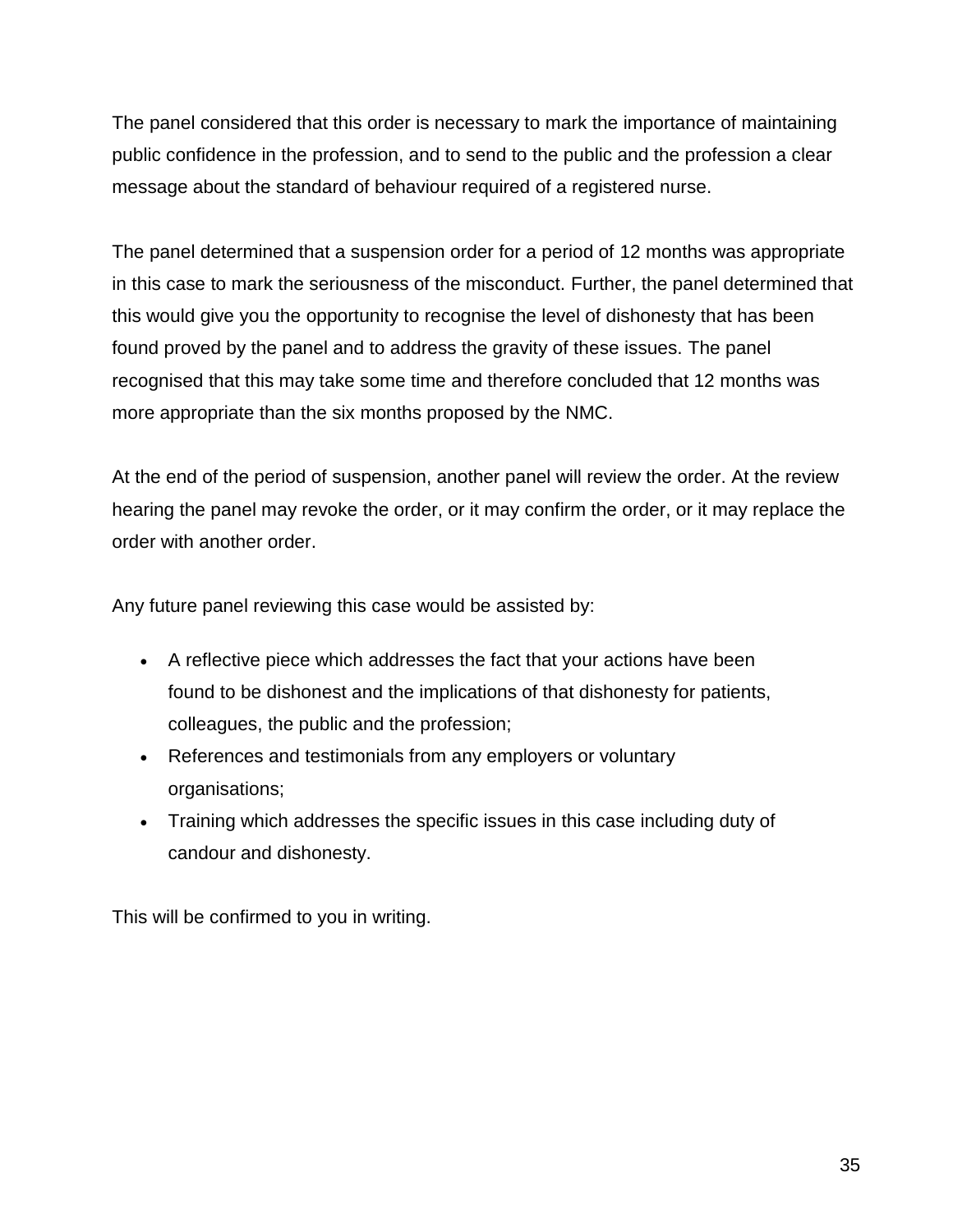The panel considered that this order is necessary to mark the importance of maintaining public confidence in the profession, and to send to the public and the profession a clear message about the standard of behaviour required of a registered nurse.

The panel determined that a suspension order for a period of 12 months was appropriate in this case to mark the seriousness of the misconduct. Further, the panel determined that this would give you the opportunity to recognise the level of dishonesty that has been found proved by the panel and to address the gravity of these issues. The panel recognised that this may take some time and therefore concluded that 12 months was more appropriate than the six months proposed by the NMC.

At the end of the period of suspension, another panel will review the order. At the review hearing the panel may revoke the order, or it may confirm the order, or it may replace the order with another order.

Any future panel reviewing this case would be assisted by:

- A reflective piece which addresses the fact that your actions have been found to be dishonest and the implications of that dishonesty for patients, colleagues, the public and the profession;
- References and testimonials from any employers or voluntary organisations;
- Training which addresses the specific issues in this case including duty of candour and dishonesty.

This will be confirmed to you in writing.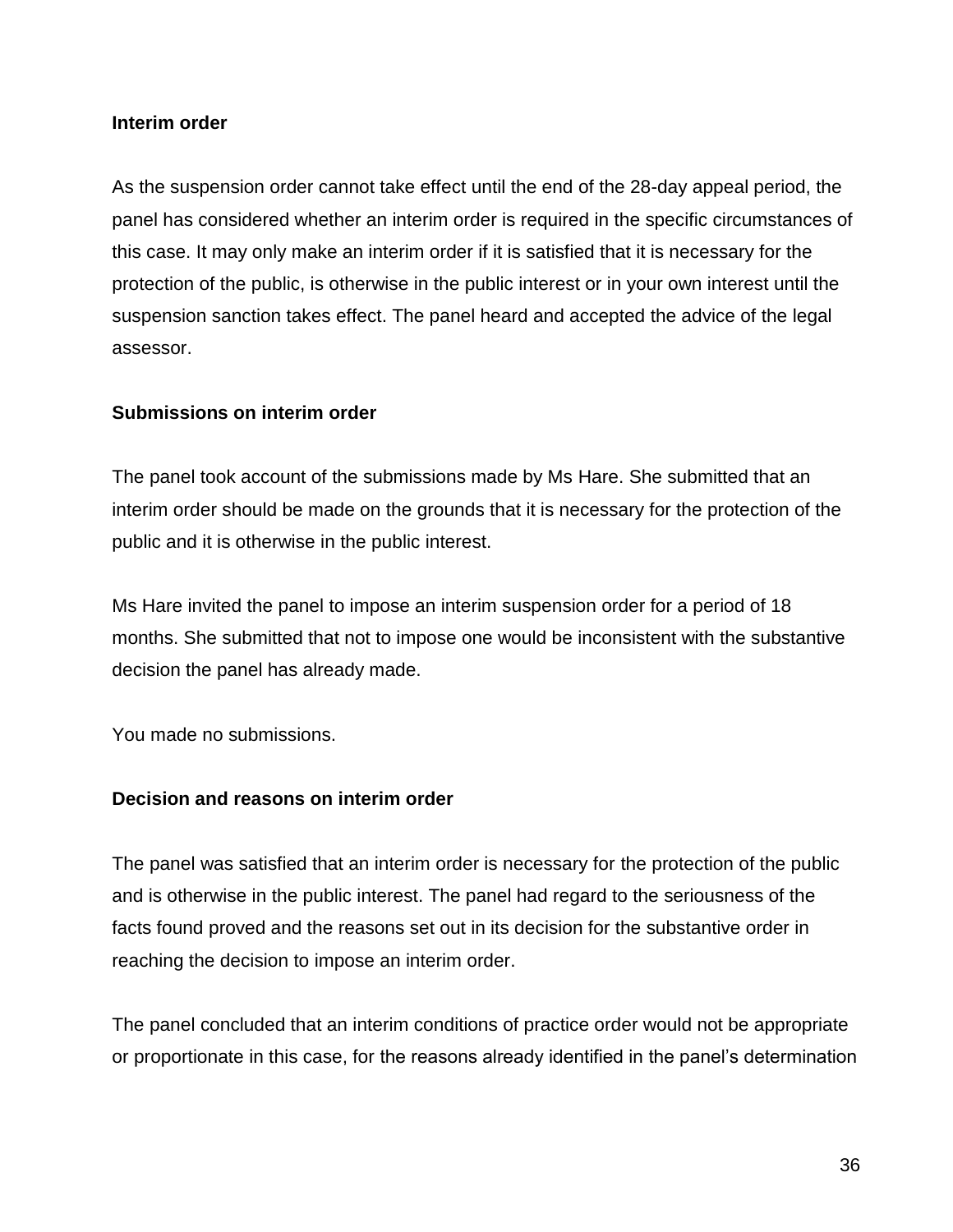#### **Interim order**

As the suspension order cannot take effect until the end of the 28-day appeal period, the panel has considered whether an interim order is required in the specific circumstances of this case. It may only make an interim order if it is satisfied that it is necessary for the protection of the public, is otherwise in the public interest or in your own interest until the suspension sanction takes effect. The panel heard and accepted the advice of the legal assessor.

#### **Submissions on interim order**

The panel took account of the submissions made by Ms Hare. She submitted that an interim order should be made on the grounds that it is necessary for the protection of the public and it is otherwise in the public interest.

Ms Hare invited the panel to impose an interim suspension order for a period of 18 months. She submitted that not to impose one would be inconsistent with the substantive decision the panel has already made.

You made no submissions.

#### **Decision and reasons on interim order**

The panel was satisfied that an interim order is necessary for the protection of the public and is otherwise in the public interest. The panel had regard to the seriousness of the facts found proved and the reasons set out in its decision for the substantive order in reaching the decision to impose an interim order.

The panel concluded that an interim conditions of practice order would not be appropriate or proportionate in this case, for the reasons already identified in the panel's determination